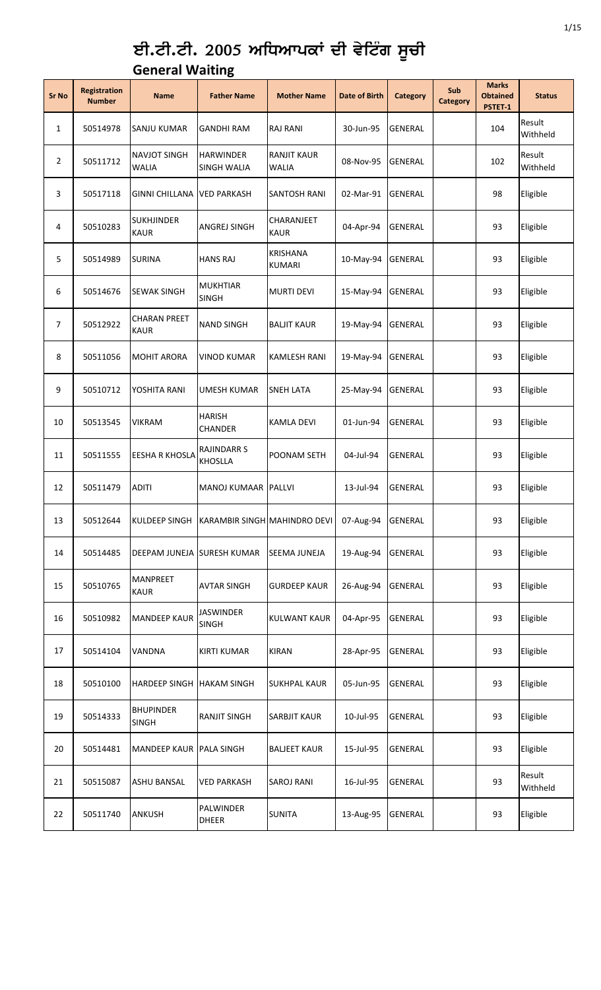## ਈ.ਟੀ.ਟੀ. 2005 ਅਧਿਆਪਕਾਂ ਦੀ ਵੇਟਿੰਗ ਸੂਚੀ **General Waiting**

| <b>Sr No</b> | <b>Registration</b><br><b>Number</b> | <b>Name</b>                         | <b>Father Name</b>                         | <b>Mother Name</b>                 | <b>Date of Birth</b> | <b>Category</b> | Sub<br><b>Category</b> | <b>Marks</b><br><b>Obtained</b><br>PSTET-1 | <b>Status</b>      |
|--------------|--------------------------------------|-------------------------------------|--------------------------------------------|------------------------------------|----------------------|-----------------|------------------------|--------------------------------------------|--------------------|
| $\mathbf{1}$ | 50514978                             | SANJU KUMAR                         | <b>GANDHI RAM</b>                          | <b>RAJ RANI</b>                    | 30-Jun-95            | <b>GENERAL</b>  |                        | 104                                        | Result<br>Withheld |
| 2            | 50511712                             | <b>NAVJOT SINGH</b><br><b>WALIA</b> | <b>HARWINDER</b><br><b>SINGH WALIA</b>     | <b>RANJIT KAUR</b><br><b>WALIA</b> | 08-Nov-95            | <b>GENERAL</b>  |                        | 102                                        | Result<br>Withheld |
| 3            | 50517118                             | <b>GINNI CHILLANA</b>               | <b>VED PARKASH</b>                         | <b>SANTOSH RANI</b>                | 02-Mar-91            | <b>GENERAL</b>  |                        | 98                                         | Eligible           |
| 4            | 50510283                             | <b>SUKHJINDER</b><br><b>KAUR</b>    | <b>ANGREJ SINGH</b>                        | CHARANJEET<br><b>KAUR</b>          | 04-Apr-94            | <b>GENERAL</b>  |                        | 93                                         | Eligible           |
| 5            | 50514989                             | <b>SURINA</b>                       | <b>HANS RAJ</b>                            | <b>KRISHANA</b><br><b>KUMARI</b>   | 10-May-94            | <b>GENERAL</b>  |                        | 93                                         | Eligible           |
| 6            | 50514676                             | <b>SEWAK SINGH</b>                  | <b>MUKHTIAR</b><br><b>SINGH</b>            | <b>MURTI DEVI</b>                  | 15-May-94            | <b>GENERAL</b>  |                        | 93                                         | Eligible           |
| 7            | 50512922                             | <b>CHARAN PREET</b><br><b>KAUR</b>  | <b>NAND SINGH</b>                          | <b>BALJIT KAUR</b>                 | 19-May-94            | GENERAL         |                        | 93                                         | Eligible           |
| 8            | 50511056                             | <b>MOHIT ARORA</b>                  | <b>VINOD KUMAR</b>                         | <b>KAMLESH RANI</b>                | 19-May-94            | <b>GENERAL</b>  |                        | 93                                         | Eligible           |
| 9            | 50510712                             | YOSHITA RANI                        | UMESH KUMAR                                | <b>SNEH LATA</b>                   | 25-May-94            | <b>GENERAL</b>  |                        | 93                                         | Eligible           |
| 10           | 50513545                             | <b>VIKRAM</b>                       | <b>HARISH</b><br>CHANDER                   | <b>KAMLA DEVI</b>                  | 01-Jun-94            | <b>GENERAL</b>  |                        | 93                                         | Eligible           |
| 11           | 50511555                             | <b>EESHA R KHOSLA</b>               | RAJINDARR S<br><b>KHOSLLA</b>              | POONAM SETH                        | 04-Jul-94            | GENERAL         |                        | 93                                         | Eligible           |
| 12           | 50511479                             | <b>ADITI</b>                        | MANOJ KUMAAR PALLVI                        |                                    | 13-Jul-94            | <b>GENERAL</b>  |                        | 93                                         | Eligible           |
| 13           | 50512644                             |                                     | KULDEEP SINGH KARAMBIR SINGH MAHINDRO DEVI |                                    | 07-Aug-94            | <b>GENERAL</b>  |                        | 93                                         | Eligible           |
| 14           | 50514485                             | DEEPAM JUNEJA SURESH KUMAR          |                                            | SEEMA JUNEJA                       | 19-Aug-94            | GENERAL         |                        | 93                                         | Eligible           |
| 15           | 50510765                             | <b>MANPREET</b><br><b>KAUR</b>      | <b>AVTAR SINGH</b>                         | <b>GURDEEP KAUR</b>                | 26-Aug-94            | GENERAL         |                        | 93                                         | Eligible           |
| 16           | 50510982                             | <b>MANDEEP KAUR</b>                 | <b>JASWINDER</b><br><b>SINGH</b>           | <b>KULWANT KAUR</b>                | 04-Apr-95            | GENERAL         |                        | 93                                         | Eligible           |
| 17           | 50514104                             | <b>VANDNA</b>                       | <b>KIRTI KUMAR</b>                         | <b>KIRAN</b>                       | 28-Apr-95            | GENERAL         |                        | 93                                         | Eligible           |
| 18           | 50510100                             | <b>HARDEEP SINGH</b>                | <b>HAKAM SINGH</b>                         | <b>SUKHPAL KAUR</b>                | 05-Jun-95            | GENERAL         |                        | 93                                         | Eligible           |
| 19           | 50514333                             | <b>BHUPINDER</b><br><b>SINGH</b>    | <b>RANJIT SINGH</b>                        | <b>SARBJIT KAUR</b>                | 10-Jul-95            | GENERAL         |                        | 93                                         | Eligible           |
| 20           | 50514481                             | MANDEEP KAUR PALA SINGH             |                                            | <b>BALJEET KAUR</b>                | 15-Jul-95            | GENERAL         |                        | 93                                         | Eligible           |
| 21           | 50515087                             | <b>ASHU BANSAL</b>                  | <b>VED PARKASH</b>                         | <b>SAROJ RANI</b>                  | 16-Jul-95            | GENERAL         |                        | 93                                         | Result<br>Withheld |
| 22           | 50511740                             | ANKUSH                              | PALWINDER<br><b>DHEER</b>                  | <b>SUNITA</b>                      | 13-Aug-95            | GENERAL         |                        | 93                                         | Eligible           |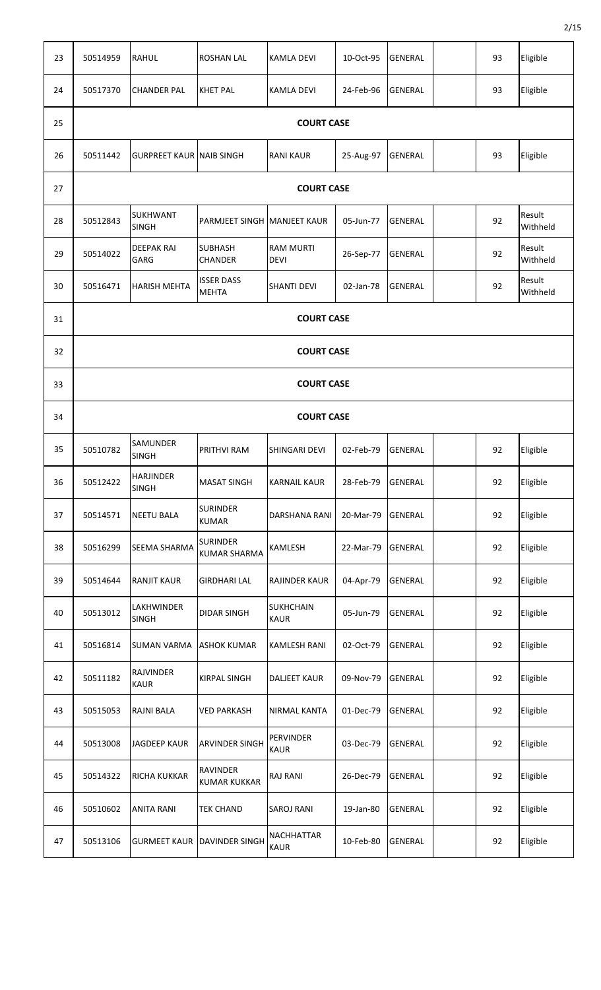| 23 | 50514959 | <b>RAHUL</b>                     | <b>ROSHAN LAL</b>                      | <b>KAMLA DEVI</b>                | 10-Oct-95 | <b>GENERAL</b> |  | 93 | Eligible           |  |  |
|----|----------|----------------------------------|----------------------------------------|----------------------------------|-----------|----------------|--|----|--------------------|--|--|
|    |          |                                  |                                        |                                  |           |                |  |    |                    |  |  |
| 24 | 50517370 | <b>CHANDER PAL</b>               | <b>KHET PAL</b>                        | <b>KAMLA DEVI</b>                | 24-Feb-96 | <b>GENERAL</b> |  | 93 | Eligible           |  |  |
| 25 |          |                                  |                                        | <b>COURT CASE</b>                |           |                |  |    |                    |  |  |
| 26 | 50511442 | <b>GURPREET KAUR NAIB SINGH</b>  |                                        | <b>RANI KAUR</b>                 | 25-Aug-97 | <b>GENERAL</b> |  | 93 | Eligible           |  |  |
| 27 |          |                                  |                                        | <b>COURT CASE</b>                |           |                |  |    |                    |  |  |
| 28 | 50512843 | <b>SUKHWANT</b><br><b>SINGH</b>  | PARMJEET SINGH MANJEET KAUR            |                                  | 05-Jun-77 | <b>GENERAL</b> |  | 92 | Result<br>Withheld |  |  |
| 29 | 50514022 | <b>DEEPAK RAI</b><br>GARG        | <b>SUBHASH</b><br><b>CHANDER</b>       | <b>RAM MURTI</b><br><b>DEVI</b>  | 26-Sep-77 | <b>GENERAL</b> |  | 92 | Result<br>Withheld |  |  |
| 30 | 50516471 | <b>HARISH MEHTA</b>              | <b>ISSER DASS</b><br><b>MEHTA</b>      | <b>SHANTI DEVI</b>               | 02-Jan-78 | <b>GENERAL</b> |  | 92 | Result<br>Withheld |  |  |
| 31 |          | <b>COURT CASE</b>                |                                        |                                  |           |                |  |    |                    |  |  |
| 32 |          |                                  |                                        | <b>COURT CASE</b>                |           |                |  |    |                    |  |  |
| 33 |          |                                  |                                        | <b>COURT CASE</b>                |           |                |  |    |                    |  |  |
| 34 |          |                                  |                                        | <b>COURT CASE</b>                |           |                |  |    |                    |  |  |
| 35 | 50510782 | <b>SAMUNDER</b><br><b>SINGH</b>  | PRITHVI RAM                            | SHINGARI DEVI                    | 02-Feb-79 | <b>GENERAL</b> |  | 92 | Eligible           |  |  |
| 36 | 50512422 | <b>HARJINDER</b><br><b>SINGH</b> | <b>MASAT SINGH</b>                     | <b>KARNAIL KAUR</b>              | 28-Feb-79 | <b>GENERAL</b> |  | 92 | Eligible           |  |  |
| 37 | 50514571 | <b>NEETU BALA</b>                | <b>SURINDER</b><br><b>KUMAR</b>        | DARSHANA RANI                    | 20-Mar-79 | <b>GENERAL</b> |  | 92 | Eligible           |  |  |
| 38 | 50516299 | <b>SEEMA SHARMA</b>              | <b>SURINDER</b><br><b>KUMAR SHARMA</b> | KAMLESH                          | 22-Mar-79 | <b>GENERAL</b> |  | 92 | Eligible           |  |  |
| 39 | 50514644 | <b>RANJIT KAUR</b>               | <b>GIRDHARI LAL</b>                    | RAJINDER KAUR                    | 04-Apr-79 | <b>GENERAL</b> |  | 92 | Eligible           |  |  |
| 40 | 50513012 | LAKHWINDER<br><b>SINGH</b>       | <b>DIDAR SINGH</b>                     | <b>SUKHCHAIN</b><br><b>KAUR</b>  | 05-Jun-79 | <b>GENERAL</b> |  | 92 | Eligible           |  |  |
| 41 | 50516814 | <b>SUMAN VARMA</b>               | <b>ASHOK KUMAR</b>                     | KAMLESH RANI                     | 02-Oct-79 | <b>GENERAL</b> |  | 92 | Eligible           |  |  |
| 42 | 50511182 | RAJVINDER<br><b>KAUR</b>         | KIRPAL SINGH                           | DALJEET KAUR                     | 09-Nov-79 | <b>GENERAL</b> |  | 92 | Eligible           |  |  |
| 43 | 50515053 | RAJNI BALA                       | <b>VED PARKASH</b>                     | NIRMAL KANTA                     | 01-Dec-79 | <b>GENERAL</b> |  | 92 | Eligible           |  |  |
| 44 | 50513008 | <b>JAGDEEP KAUR</b>              | <b>ARVINDER SINGH</b>                  | <b>PERVINDER</b><br><b>KAUR</b>  | 03-Dec-79 | <b>GENERAL</b> |  | 92 | Eligible           |  |  |
| 45 | 50514322 | RICHA KUKKAR                     | RAVINDER<br><b>KUMAR KUKKAR</b>        | <b>RAJ RANI</b>                  | 26-Dec-79 | <b>GENERAL</b> |  | 92 | Eligible           |  |  |
| 46 | 50510602 | <b>ANITA RANI</b>                | <b>TEK CHAND</b>                       | <b>SAROJ RANI</b>                | 19-Jan-80 | <b>GENERAL</b> |  | 92 | Eligible           |  |  |
| 47 | 50513106 | <b>GURMEET KAUR</b>              | <b>DAVINDER SINGH</b>                  | <b>NACHHATTAR</b><br><b>KAUR</b> | 10-Feb-80 | <b>GENERAL</b> |  | 92 | Eligible           |  |  |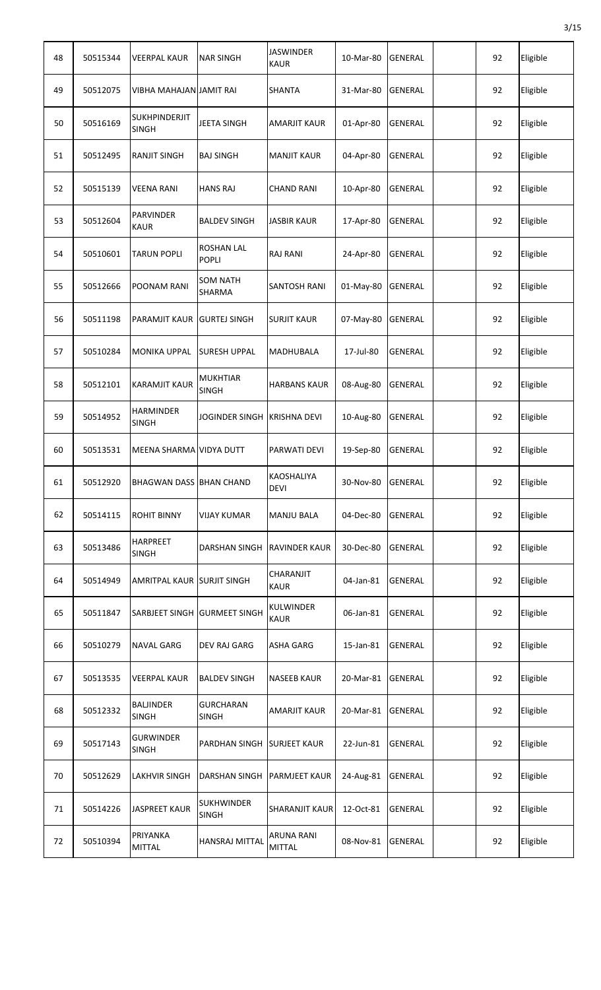| 48 | 50515344 | <b>VEERPAL KAUR</b>                  | <b>NAR SINGH</b>                  | <b>JASWINDER</b><br><b>KAUR</b>    | 10-Mar-80 | <b>GENERAL</b> | 92 | Eligible |
|----|----------|--------------------------------------|-----------------------------------|------------------------------------|-----------|----------------|----|----------|
| 49 | 50512075 | VIBHA MAHAJAN JAMIT RAI              |                                   | <b>SHANTA</b>                      | 31-Mar-80 | <b>GENERAL</b> | 92 | Eligible |
| 50 | 50516169 | <b>SUKHPINDERJIT</b><br><b>SINGH</b> | <b>JEETA SINGH</b>                | <b>AMARJIT KAUR</b>                | 01-Apr-80 | <b>GENERAL</b> | 92 | Eligible |
| 51 | 50512495 | <b>RANJIT SINGH</b>                  | <b>BAJ SINGH</b>                  | <b>MANJIT KAUR</b>                 | 04-Apr-80 | <b>GENERAL</b> | 92 | Eligible |
| 52 | 50515139 | VEENA RANI                           | <b>HANS RAJ</b>                   | <b>CHAND RANI</b>                  | 10-Apr-80 | <b>GENERAL</b> | 92 | Eligible |
| 53 | 50512604 | <b>PARVINDER</b><br><b>KAUR</b>      | <b>BALDEV SINGH</b>               | <b>JASBIR KAUR</b>                 | 17-Apr-80 | <b>GENERAL</b> | 92 | Eligible |
| 54 | 50510601 | <b>TARUN POPLI</b>                   | <b>ROSHAN LAL</b><br><b>POPLI</b> | <b>RAJ RANI</b>                    | 24-Apr-80 | <b>GENERAL</b> | 92 | Eligible |
| 55 | 50512666 | POONAM RANI                          | <b>SOM NATH</b><br>SHARMA         | <b>SANTOSH RANI</b>                | 01-May-80 | <b>GENERAL</b> | 92 | Eligible |
| 56 | 50511198 | PARAMJIT KAUR GURTEJ SINGH           |                                   | <b>SURJIT KAUR</b>                 | 07-May-80 | <b>GENERAL</b> | 92 | Eligible |
| 57 | 50510284 | <b>MONIKA UPPAL</b>                  | <b>SURESH UPPAL</b>               | MADHUBALA                          | 17-Jul-80 | <b>GENERAL</b> | 92 | Eligible |
| 58 | 50512101 | <b>KARAMJIT KAUR</b>                 | <b>MUKHTIAR</b><br><b>SINGH</b>   | <b>HARBANS KAUR</b>                | 08-Aug-80 | <b>GENERAL</b> | 92 | Eligible |
| 59 | 50514952 | <b>HARMINDER</b><br>SINGH            | <b>JOGINDER SINGH</b>             | <b>KRISHNA DEVI</b>                | 10-Aug-80 | <b>GENERAL</b> | 92 | Eligible |
| 60 | 50513531 | MEENA SHARMA VIDYA DUTT              |                                   | PARWATI DEVI                       | 19-Sep-80 | <b>GENERAL</b> | 92 | Eligible |
| 61 | 50512920 | <b>BHAGWAN DASS BHAN CHAND</b>       |                                   | <b>KAOSHALIYA</b><br><b>DEVI</b>   | 30-Nov-80 | IGENERAL       | 92 | Eligible |
| 62 | 50514115 | <b>ROHIT BINNY</b>                   | <b>VIJAY KUMAR</b>                | <b>MANJU BALA</b>                  | 04-Dec-80 | <b>GENERAL</b> | 92 | Eligible |
| 63 | 50513486 | <b>HARPREET</b><br><b>SINGH</b>      | DARSHAN SINGH                     | <b>RAVINDER KAUR</b>               | 30-Dec-80 | <b>GENERAL</b> | 92 | Eligible |
| 64 | 50514949 | AMRITPAL KAUR SURJIT SINGH           |                                   | <b>CHARANJIT</b><br><b>KAUR</b>    | 04-Jan-81 | <b>GENERAL</b> | 92 | Eligible |
| 65 | 50511847 |                                      | SARBJEET SINGH GURMEET SINGH      | <b>KULWINDER</b><br><b>KAUR</b>    | 06-Jan-81 | <b>GENERAL</b> | 92 | Eligible |
| 66 | 50510279 | NAVAL GARG                           | <b>DEV RAJ GARG</b>               | <b>ASHA GARG</b>                   | 15-Jan-81 | <b>GENERAL</b> | 92 | Eligible |
| 67 | 50513535 | <b>VEERPAL KAUR</b>                  | <b>BALDEV SINGH</b>               | <b>NASEEB KAUR</b>                 | 20-Mar-81 | <b>GENERAL</b> | 92 | Eligible |
| 68 | 50512332 | <b>BALJINDER</b><br><b>SINGH</b>     | <b>GURCHARAN</b><br><b>SINGH</b>  | <b>AMARJIT KAUR</b>                | 20-Mar-81 | <b>GENERAL</b> | 92 | Eligible |
| 69 | 50517143 | <b>GURWINDER</b><br>SINGH            | <b>PARDHAN SINGH</b>              | <b>SURJEET KAUR</b>                | 22-Jun-81 | <b>GENERAL</b> | 92 | Eligible |
| 70 | 50512629 | LAKHVIR SINGH                        | DARSHAN SINGH                     | <b>PARMJEET KAUR</b>               | 24-Aug-81 | <b>GENERAL</b> | 92 | Eligible |
| 71 | 50514226 | <b>JASPREET KAUR</b>                 | <b>SUKHWINDER</b><br><b>SINGH</b> | <b>SHARANJIT KAUR</b>              | 12-Oct-81 | <b>GENERAL</b> | 92 | Eligible |
| 72 | 50510394 | PRIYANKA<br>MITTAL                   | HANSRAJ MITTAL                    | <b>ARUNA RANI</b><br><b>MITTAL</b> | 08-Nov-81 | GENERAL        | 92 | Eligible |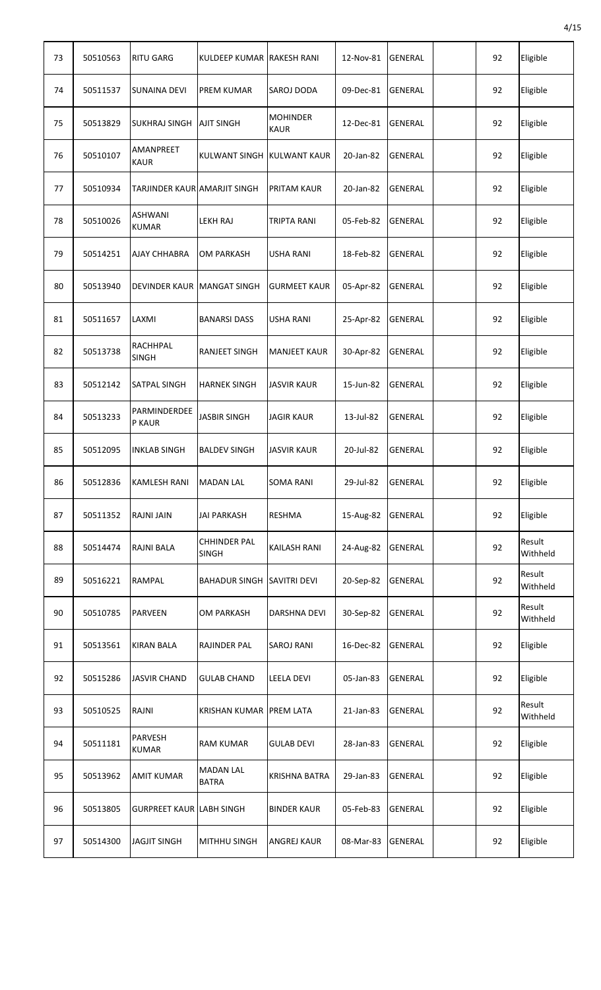| 73 | 50510563 | <b>RITU GARG</b>                | KULDEEP KUMAR RAKESH RANI           |                                | 12-Nov-81 | <b>GENERAL</b> | 92 | Eligible           |
|----|----------|---------------------------------|-------------------------------------|--------------------------------|-----------|----------------|----|--------------------|
| 74 | 50511537 | <b>SUNAINA DEVI</b>             | <b>PREM KUMAR</b>                   | <b>SAROJ DODA</b>              | 09-Dec-81 | <b>GENERAL</b> | 92 | Eligible           |
| 75 | 50513829 | <b>SUKHRAJ SINGH</b>            | <b>AJIT SINGH</b>                   | <b>MOHINDER</b><br><b>KAUR</b> | 12-Dec-81 | <b>GENERAL</b> | 92 | Eligible           |
| 76 | 50510107 | <b>AMANPREET</b><br><b>KAUR</b> | KULWANT SINGH KULWANT KAUR          |                                | 20-Jan-82 | <b>GENERAL</b> | 92 | Eligible           |
| 77 | 50510934 | TARJINDER KAUR AMARJIT SINGH    |                                     | PRITAM KAUR                    | 20-Jan-82 | <b>GENERAL</b> | 92 | Eligible           |
| 78 | 50510026 | <b>ASHWANI</b><br><b>KUMAR</b>  | <b>LEKH RAJ</b>                     | <b>TRIPTA RANI</b>             | 05-Feb-82 | <b>GENERAL</b> | 92 | Eligible           |
| 79 | 50514251 | <b>AJAY CHHABRA</b>             | <b>OM PARKASH</b>                   | <b>USHA RANI</b>               | 18-Feb-82 | <b>GENERAL</b> | 92 | Eligible           |
| 80 | 50513940 | DEVINDER KAUR MANGAT SINGH      |                                     | <b>GURMEET KAUR</b>            | 05-Apr-82 | <b>GENERAL</b> | 92 | Eligible           |
| 81 | 50511657 | LAXMI                           | <b>BANARSI DASS</b>                 | USHA RANI                      | 25-Apr-82 | <b>GENERAL</b> | 92 | Eligible           |
| 82 | 50513738 | <b>RACHHPAL</b><br><b>SINGH</b> | <b>RANJEET SINGH</b>                | <b>MANJEET KAUR</b>            | 30-Apr-82 | <b>GENERAL</b> | 92 | Eligible           |
| 83 | 50512142 | <b>SATPAL SINGH</b>             | <b>HARNEK SINGH</b>                 | <b>JASVIR KAUR</b>             | 15-Jun-82 | <b>GENERAL</b> | 92 | Eligible           |
| 84 | 50513233 | PARMINDERDEE<br>P KAUR          | <b>JASBIR SINGH</b>                 | <b>JAGIR KAUR</b>              | 13-Jul-82 | <b>GENERAL</b> | 92 | Eligible           |
| 85 | 50512095 | <b>INKLAB SINGH</b>             | <b>BALDEV SINGH</b>                 | <b>JASVIR KAUR</b>             | 20-Jul-82 | <b>GENERAL</b> | 92 | Eligible           |
| 86 | 50512836 | <b>KAMLESH RANI</b>             | <b>MADAN LAL</b>                    | SOMA RANI                      | 29-Jul-82 | GENERAL        | 92 | Eligible           |
| 87 | 50511352 | <b>RAJNI JAIN</b>               | <b>JAI PARKASH</b>                  | <b>RESHMA</b>                  | 15-Aug-82 | <b>GENERAL</b> | 92 | Eligible           |
| 88 | 50514474 | <b>RAJNI BALA</b>               | <b>CHHINDER PAL</b><br><b>SINGH</b> | KAILASH RANI                   | 24-Aug-82 | <b>GENERAL</b> | 92 | Result<br>Withheld |
| 89 | 50516221 | <b>RAMPAL</b>                   | <b>BAHADUR SINGH</b>                | <b>SAVITRI DEVI</b>            | 20-Sep-82 | <b>GENERAL</b> | 92 | Result<br>Withheld |
| 90 | 50510785 | <b>PARVEEN</b>                  | <b>OM PARKASH</b>                   | <b>DARSHNA DEVI</b>            | 30-Sep-82 | <b>GENERAL</b> | 92 | Result<br>Withheld |
| 91 | 50513561 | <b>KIRAN BALA</b>               | <b>RAJINDER PAL</b>                 | <b>SAROJ RANI</b>              | 16-Dec-82 | <b>GENERAL</b> | 92 | Eligible           |
| 92 | 50515286 | <b>JASVIR CHAND</b>             | <b>GULAB CHAND</b>                  | <b>LEELA DEVI</b>              | 05-Jan-83 | <b>GENERAL</b> | 92 | Eligible           |
| 93 | 50510525 | RAJNI                           | KRISHAN KUMAR PREM LATA             |                                | 21-Jan-83 | <b>GENERAL</b> | 92 | Result<br>Withheld |
| 94 | 50511181 | <b>PARVESH</b><br><b>KUMAR</b>  | <b>RAM KUMAR</b>                    | <b>GULAB DEVI</b>              | 28-Jan-83 | <b>GENERAL</b> | 92 | Eligible           |
| 95 | 50513962 | <b>AMIT KUMAR</b>               | <b>MADAN LAL</b><br><b>BATRA</b>    | <b>KRISHNA BATRA</b>           | 29-Jan-83 | <b>GENERAL</b> | 92 | Eligible           |
| 96 | 50513805 | <b>GURPREET KAUR LABH SINGH</b> |                                     | <b>BINDER KAUR</b>             | 05-Feb-83 | <b>GENERAL</b> | 92 | Eligible           |
| 97 | 50514300 | <b>JAGJIT SINGH</b>             | <b>MITHHU SINGH</b>                 | ANGREJ KAUR                    | 08-Mar-83 | GENERAL        | 92 | Eligible           |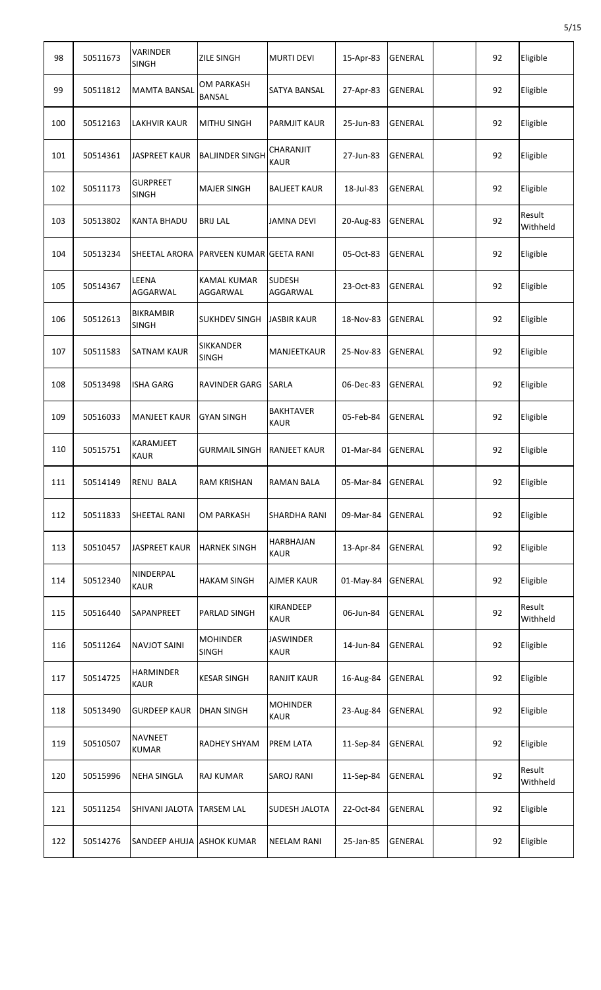| 98  | 50511673 | <b>VARINDER</b><br><b>SINGH</b>  | <b>ZILE SINGH</b>                | <b>MURTI DEVI</b>               | 15-Apr-83 | GENERAL        | 92 | Eligible           |
|-----|----------|----------------------------------|----------------------------------|---------------------------------|-----------|----------------|----|--------------------|
| 99  | 50511812 | <b>MAMTA BANSAL</b>              | OM PARKASH<br><b>BANSAL</b>      | <b>SATYA BANSAL</b>             | 27-Apr-83 | <b>GENERAL</b> | 92 | Eligible           |
| 100 | 50512163 | <b>LAKHVIR KAUR</b>              | <b>MITHU SINGH</b>               | <b>PARMJIT KAUR</b>             | 25-Jun-83 | <b>GENERAL</b> | 92 | Eligible           |
| 101 | 50514361 | <b>JASPREET KAUR</b>             | <b>BALJINDER SINGH</b>           | CHARANJIT<br><b>KAUR</b>        | 27-Jun-83 | <b>GENERAL</b> | 92 | Eligible           |
| 102 | 50511173 | <b>GURPREET</b><br><b>SINGH</b>  | <b>MAJER SINGH</b>               | <b>BALJEET KAUR</b>             | 18-Jul-83 | GENERAL        | 92 | Eligible           |
| 103 | 50513802 | <b>KANTA BHADU</b>               | <b>BRIJ LAL</b>                  | <b>JAMNA DEVI</b>               | 20-Aug-83 | <b>GENERAL</b> | 92 | Result<br>Withheld |
| 104 | 50513234 | <b>SHEETAL ARORA</b>             | <b>PARVEEN KUMAR GEETA RANI</b>  |                                 | 05-Oct-83 | <b>GENERAL</b> | 92 | Eligible           |
| 105 | 50514367 | LEENA<br>AGGARWAL                | <b>KAMAL KUMAR</b><br>AGGARWAL   | <b>SUDESH</b><br>AGGARWAL       | 23-Oct-83 | <b>GENERAL</b> | 92 | Eligible           |
| 106 | 50512613 | <b>BIKRAMBIR</b><br><b>SINGH</b> | <b>SUKHDEV SINGH</b>             | <b>JASBIR KAUR</b>              | 18-Nov-83 | <b>GENERAL</b> | 92 | Eligible           |
| 107 | 50511583 | SATNAM KAUR                      | <b>SIKKANDER</b><br><b>SINGH</b> | MANJEETKAUR                     | 25-Nov-83 | <b>GENERAL</b> | 92 | Eligible           |
| 108 | 50513498 | <b>ISHA GARG</b>                 | <b>RAVINDER GARG</b>             | <b>SARLA</b>                    | 06-Dec-83 | <b>GENERAL</b> | 92 | Eligible           |
| 109 | 50516033 | <b>MANJEET KAUR</b>              | <b>GYAN SINGH</b>                | <b>BAKHTAVER</b><br><b>KAUR</b> | 05-Feb-84 | <b>GENERAL</b> | 92 | Eligible           |
| 110 | 50515751 | <b>KARAMJEET</b><br><b>KAUR</b>  | <b>GURMAIL SINGH</b>             | <b>RANJEET KAUR</b>             | 01-Mar-84 | <b>GENERAL</b> | 92 | Eligible           |
| 111 | 50514149 | RENU BALA                        | RAM KRISHAN                      | RAMAN BALA                      | 05-Mar-84 | GENERAL        | 92 | Eligible           |
| 112 | 50511833 | SHEETAL RANI                     | <b>OM PARKASH</b>                | <b>SHARDHA RANI</b>             | 09-Mar-84 | GENERAL        | 92 | Eligible           |
| 113 | 50510457 | <b>JASPREET KAUR</b>             | <b>HARNEK SINGH</b>              | <b>HARBHAJAN</b><br><b>KAUR</b> | 13-Apr-84 | GENERAL        | 92 | Eligible           |
| 114 | 50512340 | NINDERPAL<br><b>KAUR</b>         | <b>HAKAM SINGH</b>               | <b>AJMER KAUR</b>               | 01-May-84 | GENERAL        | 92 | Eligible           |
| 115 | 50516440 | SAPANPREET                       | PARLAD SINGH                     | <b>KIRANDEEP</b><br><b>KAUR</b> | 06-Jun-84 | <b>GENERAL</b> | 92 | Result<br>Withheld |
| 116 | 50511264 | <b>NAVJOT SAINI</b>              | <b>MOHINDER</b><br><b>SINGH</b>  | <b>JASWINDER</b><br><b>KAUR</b> | 14-Jun-84 | GENERAL        | 92 | Eligible           |
| 117 | 50514725 | <b>HARMINDER</b><br><b>KAUR</b>  | <b>KESAR SINGH</b>               | <b>RANJIT KAUR</b>              | 16-Aug-84 | GENERAL        | 92 | Eligible           |
| 118 | 50513490 | <b>GURDEEP KAUR</b>              | <b>DHAN SINGH</b>                | <b>MOHINDER</b><br><b>KAUR</b>  | 23-Aug-84 | GENERAL        | 92 | Eligible           |
| 119 | 50510507 | <b>NAVNEET</b><br><b>KUMAR</b>   | <b>RADHEY SHYAM</b>              | <b>PREM LATA</b>                | 11-Sep-84 | <b>GENERAL</b> | 92 | Eligible           |
| 120 | 50515996 | <b>NEHA SINGLA</b>               | RAJ KUMAR                        | <b>SAROJ RANI</b>               | 11-Sep-84 | <b>GENERAL</b> | 92 | Result<br>Withheld |
| 121 | 50511254 | SHIVANI JALOTA                   | <b>TARSEM LAL</b>                | <b>SUDESH JALOTA</b>            | 22-Oct-84 | <b>GENERAL</b> | 92 | Eligible           |
| 122 | 50514276 | SANDEEP AHUJA ASHOK KUMAR        |                                  | <b>NEELAM RANI</b>              | 25-Jan-85 | GENERAL        | 92 | Eligible           |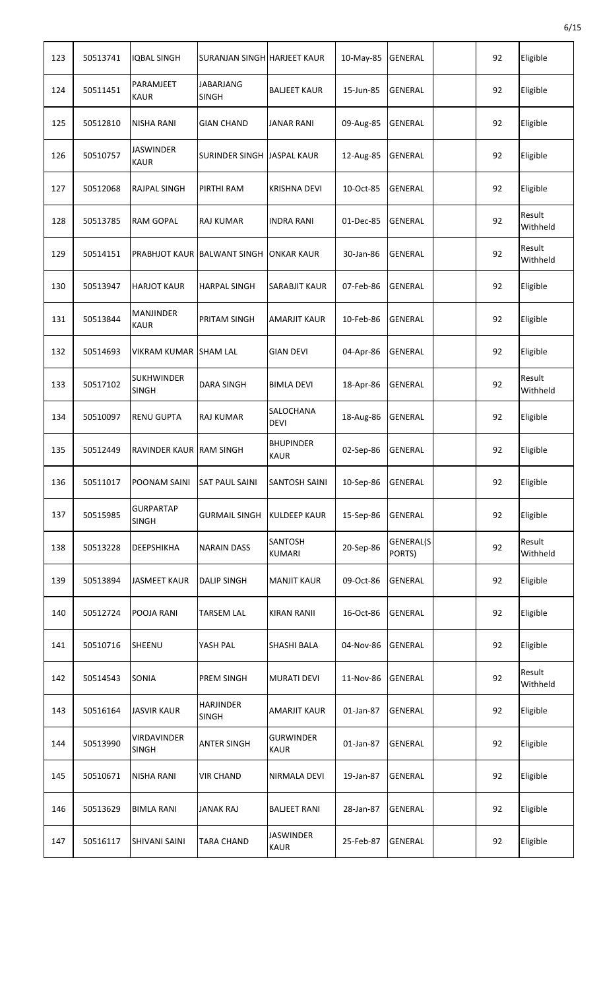| 123 | 50513741 | IQBAL SINGH                       | SURANJAN SINGH HARJEET KAUR        |                                 | 10-May-85 | <b>GENERAL</b>      | 92 | Eligible           |
|-----|----------|-----------------------------------|------------------------------------|---------------------------------|-----------|---------------------|----|--------------------|
| 124 | 50511451 | PARAMJEET<br><b>KAUR</b>          | <b>JABARJANG</b><br><b>SINGH</b>   | <b>BALJEET KAUR</b>             | 15-Jun-85 | <b>GENERAL</b>      | 92 | Eligible           |
| 125 | 50512810 | <b>NISHA RANI</b>                 | <b>GIAN CHAND</b>                  | <b>JANAR RANI</b>               | 09-Aug-85 | <b>GENERAL</b>      | 92 | Eligible           |
| 126 | 50510757 | <b>JASWINDER</b><br><b>KAUR</b>   | SURINDER SINGH JASPAL KAUR         |                                 | 12-Aug-85 | <b>GENERAL</b>      | 92 | Eligible           |
| 127 | 50512068 | <b>RAJPAL SINGH</b>               | PIRTHI RAM                         | <b>KRISHNA DEVI</b>             | 10-Oct-85 | <b>GENERAL</b>      | 92 | Eligible           |
| 128 | 50513785 | <b>RAM GOPAL</b>                  | <b>RAJ KUMAR</b>                   | <b>INDRA RANI</b>               | 01-Dec-85 | <b>GENERAL</b>      | 92 | Result<br>Withheld |
| 129 | 50514151 |                                   | <b>PRABHJOT KAUR BALWANT SINGH</b> | <b>ONKAR KAUR</b>               | 30-Jan-86 | <b>GENERAL</b>      | 92 | Result<br>Withheld |
| 130 | 50513947 | <b>HARJOT KAUR</b>                | <b>HARPAL SINGH</b>                | <b>SARABJIT KAUR</b>            | 07-Feb-86 | <b>GENERAL</b>      | 92 | Eligible           |
| 131 | 50513844 | <b>MANJINDER</b><br><b>KAUR</b>   | PRITAM SINGH                       | AMARJIT KAUR                    | 10-Feb-86 | <b>GENERAL</b>      | 92 | Eligible           |
| 132 | 50514693 | VIKRAM KUMAR SHAM LAL             |                                    | <b>GIAN DEVI</b>                | 04-Apr-86 | <b>GENERAL</b>      | 92 | Eligible           |
| 133 | 50517102 | <b>SUKHWINDER</b><br><b>SINGH</b> | <b>DARA SINGH</b>                  | <b>BIMLA DEVI</b>               | 18-Apr-86 | <b>GENERAL</b>      | 92 | Result<br>Withheld |
| 134 | 50510097 | <b>RENU GUPTA</b>                 | <b>RAJ KUMAR</b>                   | SALOCHANA<br><b>DEVI</b>        | 18-Aug-86 | <b>GENERAL</b>      | 92 | Eligible           |
| 135 | 50512449 | RAVINDER KAUR RAM SINGH           |                                    | <b>BHUPINDER</b><br><b>KAUR</b> | 02-Sep-86 | <b>GENERAL</b>      | 92 | Eligible           |
| 136 | 50511017 | POONAM SAINI                      | <b>SAT PAUL SAINI</b>              | SANTOSH SAINI                   | 10-Sep-86 | GENERAL             | 92 | Eligible           |
| 137 | 50515985 | <b>GURPARTAP</b><br><b>SINGH</b>  | <b>GURMAIL SINGH</b>               | <b>KULDEEP KAUR</b>             | 15-Sep-86 | <b>GENERAL</b>      | 92 | Eligible           |
| 138 | 50513228 | <b>DEEPSHIKHA</b>                 | <b>NARAIN DASS</b>                 | <b>SANTOSH</b><br><b>KUMARI</b> | 20-Sep-86 | GENERAL(S<br>PORTS) | 92 | Result<br>Withheld |
| 139 | 50513894 | <b>JASMEET KAUR</b>               | <b>DALIP SINGH</b>                 | <b>MANJIT KAUR</b>              | 09-Oct-86 | GENERAL             | 92 | Eligible           |
| 140 | 50512724 | POOJA RANI                        | <b>TARSEM LAL</b>                  | <b>KIRAN RANII</b>              | 16-Oct-86 | GENERAL             | 92 | Eligible           |
| 141 | 50510716 | SHEENU                            | YASH PAL                           | <b>SHASHI BALA</b>              | 04-Nov-86 | GENERAL             | 92 | Eligible           |
| 142 | 50514543 | <b>SONIA</b>                      | <b>PREM SINGH</b>                  | <b>MURATI DEVI</b>              | 11-Nov-86 | <b>GENERAL</b>      | 92 | Result<br>Withheld |
| 143 | 50516164 | <b>JASVIR KAUR</b>                | <b>HARJINDER</b><br><b>SINGH</b>   | <b>AMARJIT KAUR</b>             | 01-Jan-87 | GENERAL             | 92 | Eligible           |
| 144 | 50513990 | VIRDAVINDER<br><b>SINGH</b>       | <b>ANTER SINGH</b>                 | <b>GURWINDER</b><br><b>KAUR</b> | 01-Jan-87 | <b>GENERAL</b>      | 92 | Eligible           |
| 145 | 50510671 | <b>NISHA RANI</b>                 | <b>VIR CHAND</b>                   | NIRMALA DEVI                    | 19-Jan-87 | GENERAL             | 92 | Eligible           |
| 146 | 50513629 | <b>BIMLA RANI</b>                 | <b>JANAK RAJ</b>                   | <b>BALJEET RANI</b>             | 28-Jan-87 | GENERAL             | 92 | Eligible           |
| 147 | 50516117 | <b>SHIVANI SAINI</b>              | <b>TARA CHAND</b>                  | <b>JASWINDER</b><br><b>KAUR</b> | 25-Feb-87 | GENERAL             | 92 | Eligible           |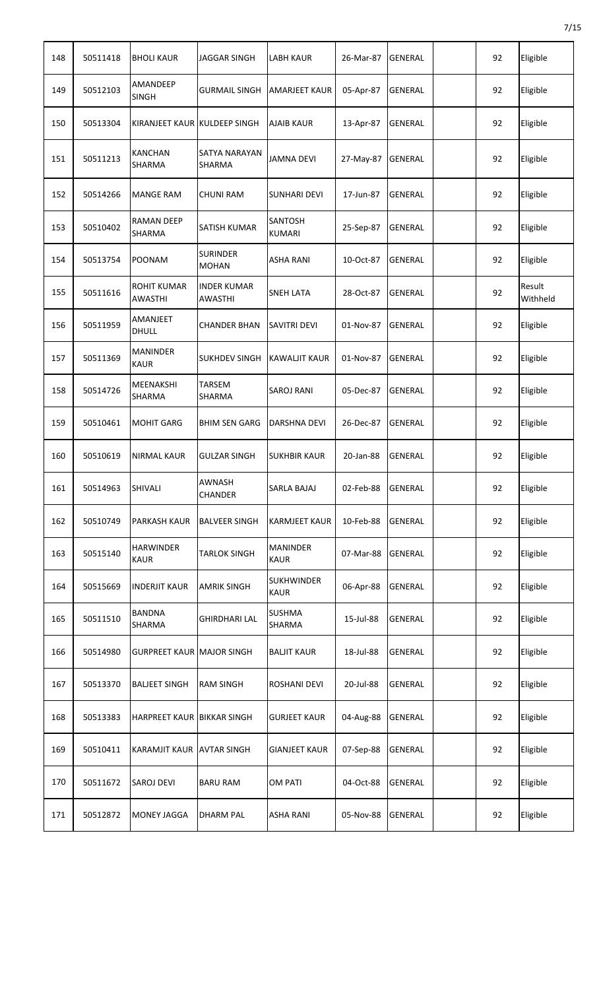| 148 | 50511418 | <b>BHOLI KAUR</b>                    | JAGGAR SINGH                         | LABH KAUR                        | 26-Mar-87 | <b>GENERAL</b> | 92 | Eligible           |
|-----|----------|--------------------------------------|--------------------------------------|----------------------------------|-----------|----------------|----|--------------------|
| 149 | 50512103 | <b>AMANDEEP</b><br><b>SINGH</b>      | <b>GURMAIL SINGH</b>                 | <b>AMARJEET KAUR</b>             | 05-Apr-87 | <b>GENERAL</b> | 92 | Eligible           |
| 150 | 50513304 | KIRANJEET KAUR KULDEEP SINGH         |                                      | <b>AJAIB KAUR</b>                | 13-Apr-87 | <b>GENERAL</b> | 92 | Eligible           |
| 151 | 50511213 | <b>KANCHAN</b><br><b>SHARMA</b>      | SATYA NARAYAN<br><b>SHARMA</b>       | <b>JAMNA DEVI</b>                | 27-May-87 | GENERAL        | 92 | Eligible           |
| 152 | 50514266 | <b>MANGE RAM</b>                     | <b>CHUNI RAM</b>                     | <b>SUNHARI DEVI</b>              | 17-Jun-87 | <b>GENERAL</b> | 92 | Eligible           |
| 153 | 50510402 | <b>RAMAN DEEP</b><br><b>SHARMA</b>   | <b>SATISH KUMAR</b>                  | <b>SANTOSH</b><br><b>KUMARI</b>  | 25-Sep-87 | <b>GENERAL</b> | 92 | Eligible           |
| 154 | 50513754 | <b>POONAM</b>                        | <b>SURINDER</b><br><b>MOHAN</b>      | <b>ASHA RANI</b>                 | 10-Oct-87 | GENERAL        | 92 | Eligible           |
| 155 | 50511616 | <b>ROHIT KUMAR</b><br><b>AWASTHI</b> | <b>INDER KUMAR</b><br><b>AWASTHI</b> | <b>SNEH LATA</b>                 | 28-Oct-87 | <b>GENERAL</b> | 92 | Result<br>Withheld |
| 156 | 50511959 | <b>AMANJEET</b><br>DHULL             | <b>CHANDER BHAN</b>                  | <b>SAVITRI DEVI</b>              | 01-Nov-87 | <b>GENERAL</b> | 92 | Eligible           |
| 157 | 50511369 | <b>MANINDER</b><br><b>KAUR</b>       | <b>SUKHDEV SINGH</b>                 | <b>KAWALJIT KAUR</b>             | 01-Nov-87 | <b>GENERAL</b> | 92 | Eligible           |
| 158 | 50514726 | <b>MEENAKSHI</b><br><b>SHARMA</b>    | <b>TARSEM</b><br><b>SHARMA</b>       | <b>SAROJ RANI</b>                | 05-Dec-87 | <b>GENERAL</b> | 92 | Eligible           |
| 159 | 50510461 | <b>MOHIT GARG</b>                    | <b>BHIM SEN GARG</b>                 | DARSHNA DEVI                     | 26-Dec-87 | <b>GENERAL</b> | 92 | Eligible           |
| 160 | 50510619 | <b>NIRMAL KAUR</b>                   | <b>GULZAR SINGH</b>                  | <b>SUKHBIR KAUR</b>              | 20-Jan-88 | <b>GENERAL</b> | 92 | Eligible           |
| 161 | 50514963 | SHIVALI                              | AWNASH<br><b>CHANDER</b>             | SARLA BAJAJ                      | 02-Feb-88 | <b>GENERAL</b> | 92 | Eligible           |
| 162 | 50510749 | PARKASH KAUR                         | <b>BALVEER SINGH</b>                 | <b>KARMJEET KAUR</b>             | 10-Feb-88 | GENERAL        | 92 | Eligible           |
| 163 | 50515140 | <b>HARWINDER</b><br><b>KAUR</b>      | <b>TARLOK SINGH</b>                  | <b>MANINDER</b><br><b>KAUR</b>   | 07-Mar-88 | GENERAL        | 92 | Eligible           |
| 164 | 50515669 | <b>INDERJIT KAUR</b>                 | <b>AMRIK SINGH</b>                   | <b>SUKHWINDER</b><br><b>KAUR</b> | 06-Apr-88 | <b>GENERAL</b> | 92 | Eligible           |
| 165 | 50511510 | <b>BANDNA</b><br><b>SHARMA</b>       | <b>GHIRDHARI LAL</b>                 | <b>SUSHMA</b><br>SHARMA          | 15-Jul-88 | GENERAL        | 92 | Eligible           |
| 166 | 50514980 | <b>GURPREET KAUR MAJOR SINGH</b>     |                                      | <b>BALJIT KAUR</b>               | 18-Jul-88 | GENERAL        | 92 | Eligible           |
| 167 | 50513370 | <b>BALJEET SINGH</b>                 | <b>RAM SINGH</b>                     | <b>ROSHANI DEVI</b>              | 20-Jul-88 | GENERAL        | 92 | Eligible           |
| 168 | 50513383 | HARPREET KAUR BIKKAR SINGH           |                                      | <b>GURJEET KAUR</b>              | 04-Aug-88 | GENERAL        | 92 | Eligible           |
| 169 | 50510411 | KARAMJIT KAUR AVTAR SINGH            |                                      | <b>GIANJEET KAUR</b>             | 07-Sep-88 | GENERAL        | 92 | Eligible           |
| 170 | 50511672 | <b>SAROJ DEVI</b>                    | <b>BARU RAM</b>                      | <b>OM PATI</b>                   | 04-Oct-88 | GENERAL        | 92 | Eligible           |
| 171 | 50512872 | <b>MONEY JAGGA</b>                   | <b>DHARM PAL</b>                     | <b>ASHA RANI</b>                 | 05-Nov-88 | GENERAL        | 92 | Eligible           |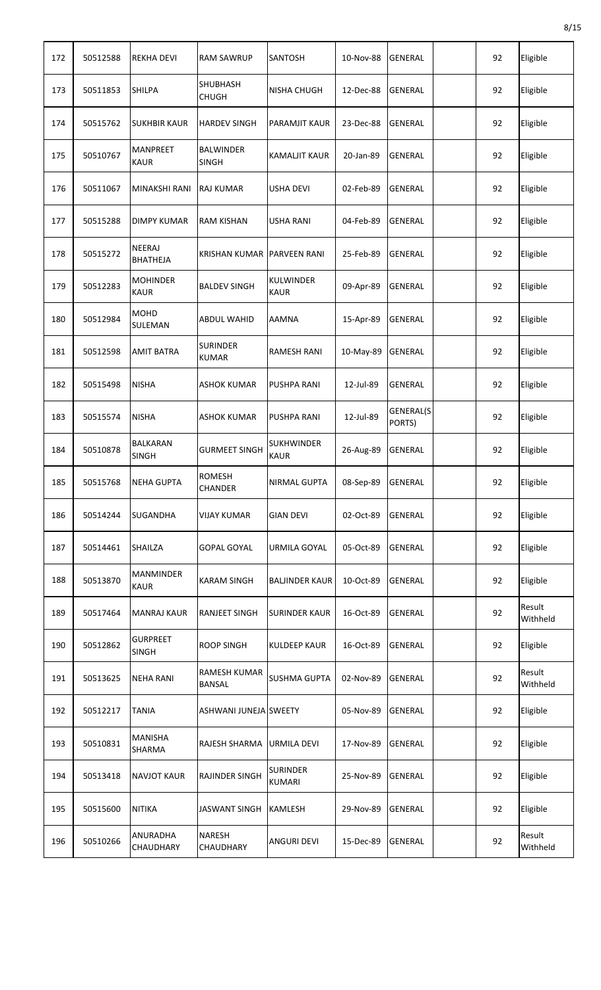| 172 | 50512588 | <b>REKHA DEVI</b>               | <b>RAM SAWRUP</b>                | SANTOSH                          | 10-Nov-88 | <b>GENERAL</b>      | 92 | Eligible           |
|-----|----------|---------------------------------|----------------------------------|----------------------------------|-----------|---------------------|----|--------------------|
| 173 | 50511853 | <b>SHILPA</b>                   | SHUBHASH<br><b>CHUGH</b>         | <b>NISHA CHUGH</b>               | 12-Dec-88 | <b>GENERAL</b>      | 92 | Eligible           |
| 174 | 50515762 | <b>SUKHBIR KAUR</b>             | <b>HARDEV SINGH</b>              | <b>PARAMJIT KAUR</b>             | 23-Dec-88 | <b>GENERAL</b>      | 92 | Eligible           |
| 175 | 50510767 | <b>MANPREET</b><br><b>KAUR</b>  | <b>BALWINDER</b><br><b>SINGH</b> | <b>KAMALJIT KAUR</b>             | 20-Jan-89 | <b>GENERAL</b>      | 92 | Eligible           |
| 176 | 50511067 | MINAKSHI RANI                   | <b>RAJ KUMAR</b>                 | USHA DEVI                        | 02-Feb-89 | <b>GENERAL</b>      | 92 | Eligible           |
| 177 | 50515288 | <b>DIMPY KUMAR</b>              | <b>RAM KISHAN</b>                | <b>USHA RANI</b>                 | 04-Feb-89 | <b>GENERAL</b>      | 92 | Eligible           |
| 178 | 50515272 | NEERAJ<br><b>BHATHEJA</b>       | <b>KRISHAN KUMAR</b>             | <b>PARVEEN RANI</b>              | 25-Feb-89 | <b>GENERAL</b>      | 92 | Eligible           |
| 179 | 50512283 | <b>MOHINDER</b><br><b>KAUR</b>  | <b>BALDEV SINGH</b>              | <b>KULWINDER</b><br><b>KAUR</b>  | 09-Apr-89 | <b>GENERAL</b>      | 92 | Eligible           |
| 180 | 50512984 | <b>MOHD</b><br>SULEMAN          | <b>ABDUL WAHID</b>               | AAMNA                            | 15-Apr-89 | <b>GENERAL</b>      | 92 | Eligible           |
| 181 | 50512598 | <b>AMIT BATRA</b>               | <b>SURINDER</b><br><b>KUMAR</b>  | <b>RAMESH RANI</b>               | 10-May-89 | <b>GENERAL</b>      | 92 | Eligible           |
| 182 | 50515498 | <b>NISHA</b>                    | <b>ASHOK KUMAR</b>               | PUSHPA RANI                      | 12-Jul-89 | <b>GENERAL</b>      | 92 | Eligible           |
| 183 | 50515574 | <b>NISHA</b>                    | <b>ASHOK KUMAR</b>               | <b>PUSHPA RANI</b>               | 12-Jul-89 | GENERAL(S<br>PORTS) | 92 | Eligible           |
| 184 | 50510878 | <b>BALKARAN</b><br><b>SINGH</b> | <b>GURMEET SINGH</b>             | <b>SUKHWINDER</b><br><b>KAUR</b> | 26-Aug-89 | <b>GENERAL</b>      | 92 | Eligible           |
| 185 | 50515768 | <b>NEHA GUPTA</b>               | <b>ROMESH</b><br><b>CHANDER</b>  | NIRMAL GUPTA                     | 08-Sep-89 | GENERAL             | 92 | Eligible           |
| 186 | 50514244 | SUGANDHA                        | <b>VIJAY KUMAR</b>               | <b>GIAN DEVI</b>                 | 02-Oct-89 | <b>GENERAL</b>      | 92 | Eligible           |
| 187 | 50514461 | <b>SHAILZA</b>                  | <b>GOPAL GOYAL</b>               | URMILA GOYAL                     | 05-Oct-89 | <b>GENERAL</b>      | 92 | Eligible           |
| 188 | 50513870 | <b>MANMINDER</b><br><b>KAUR</b> | <b>KARAM SINGH</b>               | <b>BALJINDER KAUR</b>            | 10-Oct-89 | <b>GENERAL</b>      | 92 | Eligible           |
| 189 | 50517464 | <b>MANRAJ KAUR</b>              | <b>RANJEET SINGH</b>             | <b>SURINDER KAUR</b>             | 16-Oct-89 | <b>GENERAL</b>      | 92 | Result<br>Withheld |
| 190 | 50512862 | <b>GURPREET</b><br><b>SINGH</b> | <b>ROOP SINGH</b>                | <b>KULDEEP KAUR</b>              | 16-Oct-89 | <b>GENERAL</b>      | 92 | Eligible           |
| 191 | 50513625 | <b>NEHA RANI</b>                | RAMESH KUMAR<br><b>BANSAL</b>    | <b>SUSHMA GUPTA</b>              | 02-Nov-89 | <b>GENERAL</b>      | 92 | Result<br>Withheld |
| 192 | 50512217 | <b>TANIA</b>                    | ASHWANI JUNEJA SWEETY            |                                  | 05-Nov-89 | <b>GENERAL</b>      | 92 | Eligible           |
| 193 | 50510831 | <b>MANISHA</b><br>SHARMA        | RAJESH SHARMA                    | URMILA DEVI                      | 17-Nov-89 | <b>GENERAL</b>      | 92 | Eligible           |
| 194 | 50513418 | <b>NAVJOT KAUR</b>              | <b>RAJINDER SINGH</b>            | <b>SURINDER</b><br><b>KUMARI</b> | 25-Nov-89 | <b>GENERAL</b>      | 92 | Eligible           |
| 195 | 50515600 | <b>NITIKA</b>                   | <b>JASWANT SINGH</b>             | <b>KAMLESH</b>                   | 29-Nov-89 | <b>GENERAL</b>      | 92 | Eligible           |
| 196 | 50510266 | ANURADHA<br>CHAUDHARY           | <b>NARESH</b><br>CHAUDHARY       | <b>ANGURI DEVI</b>               | 15-Dec-89 | GENERAL             | 92 | Result<br>Withheld |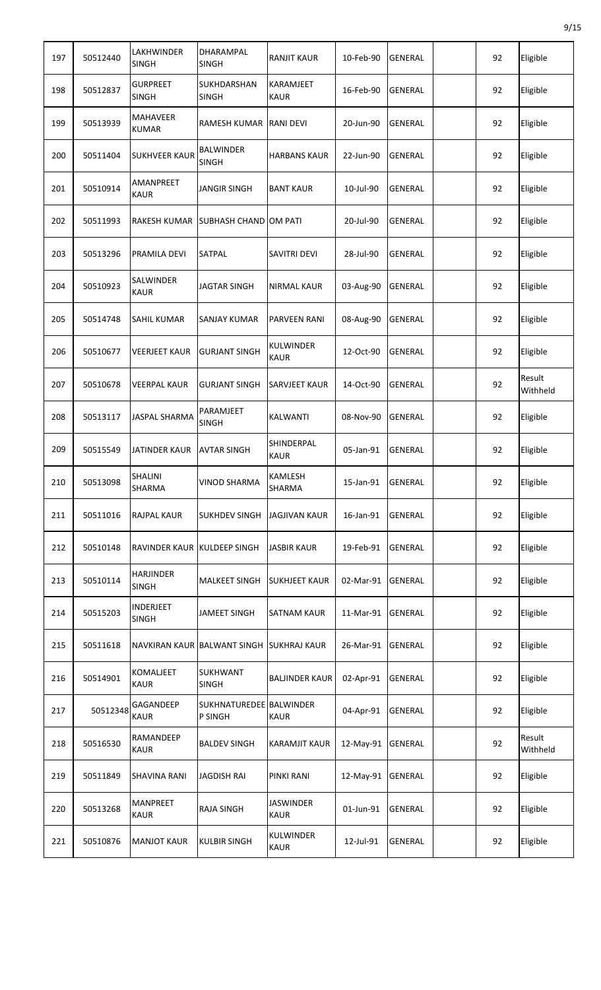| 197 | 50512440 | LAKHWINDER<br><b>SINGH</b>       | DHARAMPAL<br><b>SINGH</b>          | <b>RANJIT KAUR</b>              | 10-Feb-90 | <b>GENERAL</b> | 92 | Eligible           |
|-----|----------|----------------------------------|------------------------------------|---------------------------------|-----------|----------------|----|--------------------|
| 198 | 50512837 | <b>GURPREET</b><br><b>SINGH</b>  | SUKHDARSHAN<br><b>SINGH</b>        | <b>KARAMJEET</b><br><b>KAUR</b> | 16-Feb-90 | <b>GENERAL</b> | 92 | Eligible           |
| 199 | 50513939 | <b>MAHAVEER</b><br><b>KUMAR</b>  | <b>RAMESH KUMAR</b>                | <b>RANI DEVI</b>                | 20-Jun-90 | <b>GENERAL</b> | 92 | Eligible           |
| 200 | 50511404 | <b>SUKHVEER KAUR</b>             | <b>BALWINDER</b><br><b>SINGH</b>   | <b>HARBANS KAUR</b>             | 22-Jun-90 | <b>GENERAL</b> | 92 | Eligible           |
| 201 | 50510914 | AMANPREET<br><b>KAUR</b>         | <b>JANGIR SINGH</b>                | <b>BANT KAUR</b>                | 10-Jul-90 | <b>GENERAL</b> | 92 | Eligible           |
| 202 | 50511993 | RAKESH KUMAR                     | SUBHASH CHAND OM PATI              |                                 | 20-Jul-90 | <b>GENERAL</b> | 92 | Eligible           |
| 203 | 50513296 | PRAMILA DEVI                     | <b>SATPAL</b>                      | <b>SAVITRI DEVI</b>             | 28-Jul-90 | <b>GENERAL</b> | 92 | Eligible           |
| 204 | 50510923 | SALWINDER<br><b>KAUR</b>         | <b>JAGTAR SINGH</b>                | <b>NIRMAL KAUR</b>              | 03-Aug-90 | <b>GENERAL</b> | 92 | Eligible           |
| 205 | 50514748 | SAHIL KUMAR                      | SANJAY KUMAR                       | <b>PARVEEN RANI</b>             | 08-Aug-90 | <b>GENERAL</b> | 92 | Eligible           |
| 206 | 50510677 | <b>VEERJEET KAUR</b>             | <b>GURJANT SINGH</b>               | <b>KULWINDER</b><br><b>KAUR</b> | 12-Oct-90 | <b>GENERAL</b> | 92 | Eligible           |
| 207 | 50510678 | <b>VEERPAL KAUR</b>              | <b>GURJANT SINGH</b>               | <b>SARVJEET KAUR</b>            | 14-Oct-90 | <b>GENERAL</b> | 92 | Result<br>Withheld |
| 208 | 50513117 | JASPAL SHARMA                    | PARAMJEET<br><b>SINGH</b>          | KALWANTI                        | 08-Nov-90 | GENERAL        | 92 | Eligible           |
| 209 | 50515549 | <b>JATINDER KAUR</b>             | <b>AVTAR SINGH</b>                 | SHINDERPAL<br><b>KAUR</b>       | 05-Jan-91 | <b>GENERAL</b> | 92 | Eligible           |
| 210 | 50513098 | SHALINI<br>SHARMA                | VINOD SHARMA                       | <b>KAMLESH</b><br><b>SHARMA</b> | 15-Jan-91 | GENERAL        | 92 | Eligible           |
| 211 | 50511016 | <b>RAJPAL KAUR</b>               | <b>SUKHDEV SINGH</b>               | <b>JAGJIVAN KAUR</b>            | 16-Jan-91 | <b>GENERAL</b> | 92 | Eligible           |
| 212 | 50510148 | RAVINDER KAUR KULDEEP SINGH      |                                    | <b>JASBIR KAUR</b>              | 19-Feb-91 | <b>GENERAL</b> | 92 | Eligible           |
| 213 | 50510114 | <b>HARJINDER</b><br><b>SINGH</b> | <b>MALKEET SINGH</b>               | <b>SUKHJEET KAUR</b>            | 02-Mar-91 | <b>GENERAL</b> | 92 | Eligible           |
| 214 | 50515203 | INDERJEET<br><b>SINGH</b>        | <b>JAMEET SINGH</b>                | <b>SATNAM KAUR</b>              | 11-Mar-91 | GENERAL        | 92 | Eligible           |
| 215 | 50511618 |                                  | NAVKIRAN KAUR BALWANT SINGH        | <b>SUKHRAJ KAUR</b>             | 26-Mar-91 | GENERAL        | 92 | Eligible           |
| 216 | 50514901 | KOMALJEET<br><b>KAUR</b>         | <b>SUKHWANT</b><br><b>SINGH</b>    | <b>BALJINDER KAUR</b>           | 02-Apr-91 | <b>GENERAL</b> | 92 | Eligible           |
| 217 | 50512348 | GAGANDEEP<br><b>KAUR</b>         | SUKHNATUREDEE BALWINDER<br>P SINGH | <b>KAUR</b>                     | 04-Apr-91 | <b>GENERAL</b> | 92 | Eligible           |
| 218 | 50516530 | RAMANDEEP<br><b>KAUR</b>         | <b>BALDEV SINGH</b>                | <b>KARAMJIT KAUR</b>            | 12-May-91 | <b>GENERAL</b> | 92 | Result<br>Withheld |
| 219 | 50511849 | <b>SHAVINA RANI</b>              | <b>JAGDISH RAI</b>                 | PINKI RANI                      | 12-May-91 | GENERAL        | 92 | Eligible           |
| 220 | 50513268 | <b>MANPREET</b><br><b>KAUR</b>   | <b>RAJA SINGH</b>                  | <b>JASWINDER</b><br><b>KAUR</b> | 01-Jun-91 | GENERAL        | 92 | Eligible           |
| 221 | 50510876 | <b>MANJOT KAUR</b>               | <b>KULBIR SINGH</b>                | <b>KULWINDER</b><br><b>KAUR</b> | 12-Jul-91 | GENERAL        | 92 | Eligible           |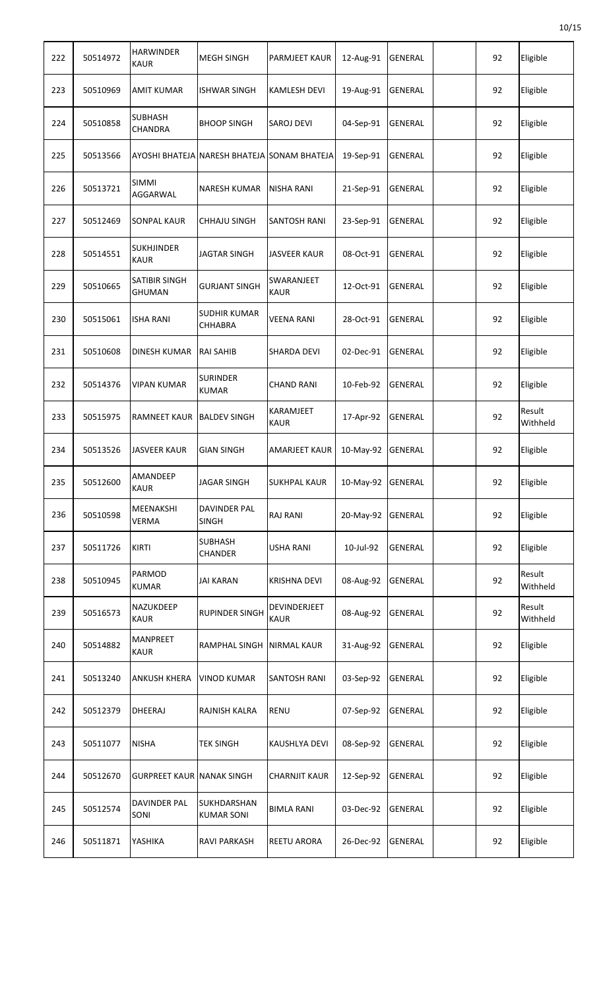| 222 | 50514972 | <b>HARWINDER</b><br><b>KAUR</b>       | <b>MEGH SINGH</b>                           | <b>PARMJEET KAUR</b>            | 12-Aug-91 | <b>GENERAL</b> | 92 | Eligible           |
|-----|----------|---------------------------------------|---------------------------------------------|---------------------------------|-----------|----------------|----|--------------------|
| 223 | 50510969 | <b>AMIT KUMAR</b>                     | <b>ISHWAR SINGH</b>                         | <b>KAMLESH DEVI</b>             | 19-Aug-91 | <b>GENERAL</b> | 92 | Eligible           |
| 224 | 50510858 | <b>SUBHASH</b><br>CHANDRA             | <b>BHOOP SINGH</b>                          | <b>SAROJ DEVI</b>               | 04-Sep-91 | <b>GENERAL</b> | 92 | Eligible           |
| 225 | 50513566 |                                       | AYOSHI BHATEJA NARESH BHATEJA SONAM BHATEJA |                                 | 19-Sep-91 | <b>GENERAL</b> | 92 | Eligible           |
| 226 | 50513721 | <b>SIMMI</b><br>AGGARWAL              | <b>NARESH KUMAR</b>                         | <b>NISHA RANI</b>               | 21-Sep-91 | <b>GENERAL</b> | 92 | Eligible           |
| 227 | 50512469 | <b>SONPAL KAUR</b>                    | <b>CHHAJU SINGH</b>                         | SANTOSH RANI                    | 23-Sep-91 | <b>GENERAL</b> | 92 | Eligible           |
| 228 | 50514551 | <b>SUKHJINDER</b><br><b>KAUR</b>      | <b>JAGTAR SINGH</b>                         | <b>JASVEER KAUR</b>             | 08-Oct-91 | <b>GENERAL</b> | 92 | Eligible           |
| 229 | 50510665 | <b>SATIBIR SINGH</b><br><b>GHUMAN</b> | <b>GURJANT SINGH</b>                        | SWARANJEET<br><b>KAUR</b>       | 12-Oct-91 | <b>GENERAL</b> | 92 | Eligible           |
| 230 | 50515061 | <b>ISHA RANI</b>                      | <b>SUDHIR KUMAR</b><br><b>CHHABRA</b>       | <b>VEENA RANI</b>               | 28-Oct-91 | <b>GENERAL</b> | 92 | Eligible           |
| 231 | 50510608 | DINESH KUMAR                          | <b>RAI SAHIB</b>                            | <b>SHARDA DEVI</b>              | 02-Dec-91 | <b>GENERAL</b> | 92 | Eligible           |
| 232 | 50514376 | <b>VIPAN KUMAR</b>                    | <b>SURINDER</b><br><b>KUMAR</b>             | <b>CHAND RANI</b>               | 10-Feb-92 | <b>GENERAL</b> | 92 | Eligible           |
| 233 | 50515975 | RAMNEET KAUR                          | <b>BALDEV SINGH</b>                         | <b>KARAMJEET</b><br><b>KAUR</b> | 17-Apr-92 | GENERAL        | 92 | Result<br>Withheld |
| 234 | 50513526 | <b>JASVEER KAUR</b>                   | <b>GIAN SINGH</b>                           | <b>AMARJEET KAUR</b>            | 10-May-92 | <b>GENERAL</b> | 92 | Eligible           |
| 235 | 50512600 | AMANDEEP<br><b>KAUR</b>               | <b>JAGAR SINGH</b>                          | <b>SUKHPAL KAUR</b>             | 10-May-92 | GENERAL        | 92 | Eligible           |
| 236 | 50510598 | <b>MEENAKSHI</b><br><b>VERMA</b>      | <b>DAVINDER PAL</b><br><b>SINGH</b>         | <b>RAJ RANI</b>                 | 20-May-92 | <b>GENERAL</b> | 92 | Eligible           |
| 237 | 50511726 | <b>KIRTI</b>                          | <b>SUBHASH</b><br><b>CHANDER</b>            | <b>USHA RANI</b>                | 10-Jul-92 | <b>GENERAL</b> | 92 | Eligible           |
| 238 | 50510945 | PARMOD<br><b>KUMAR</b>                | <b>JAI KARAN</b>                            | <b>KRISHNA DEVI</b>             | 08-Aug-92 | <b>GENERAL</b> | 92 | Result<br>Withheld |
| 239 | 50516573 | NAZUKDEEP<br><b>KAUR</b>              | <b>RUPINDER SINGH</b>                       | DEVINDERJEET<br><b>KAUR</b>     | 08-Aug-92 | GENERAL        | 92 | Result<br>Withheld |
| 240 | 50514882 | MANPREET<br>KAUR                      | <b>RAMPHAL SINGH</b>                        | <b>NIRMAL KAUR</b>              | 31-Aug-92 | GENERAL        | 92 | Eligible           |
| 241 | 50513240 | ANKUSH KHERA                          | <b>VINOD KUMAR</b>                          | <b>SANTOSH RANI</b>             | 03-Sep-92 | <b>GENERAL</b> | 92 | Eligible           |
| 242 | 50512379 | <b>DHEERAJ</b>                        | RAJNISH KALRA                               | <b>RENU</b>                     | 07-Sep-92 | GENERAL        | 92 | Eligible           |
| 243 | 50511077 | <b>NISHA</b>                          | <b>TEK SINGH</b>                            | KAUSHLYA DEVI                   | 08-Sep-92 | GENERAL        | 92 | Eligible           |
| 244 | 50512670 | <b>GURPREET KAUR NANAK SINGH</b>      |                                             | <b>CHARNJIT KAUR</b>            | 12-Sep-92 | GENERAL        | 92 | Eligible           |
| 245 | 50512574 | DAVINDER PAL<br>SONI                  | SUKHDARSHAN<br><b>KUMAR SONI</b>            | <b>BIMLA RANI</b>               | 03-Dec-92 | GENERAL        | 92 | Eligible           |
| 246 | 50511871 | YASHIKA                               | <b>RAVI PARKASH</b>                         | <b>REETU ARORA</b>              | 26-Dec-92 | GENERAL        | 92 | Eligible           |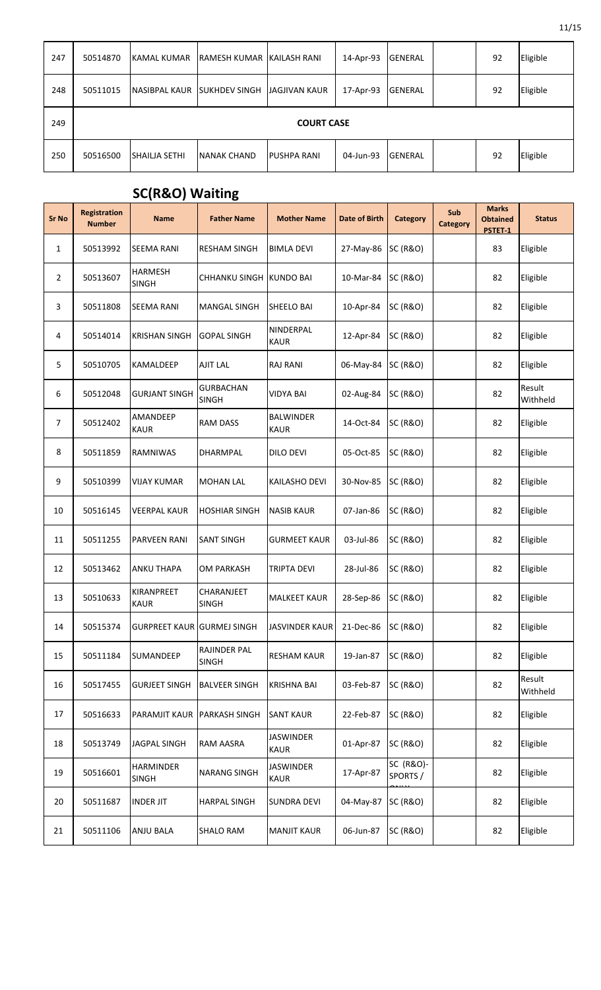| 247 | 50514870          | KAMAL KUMAR          | RAMESH KUMAR KAILASH RANI |                    | 14-Apr-93 | <b>GENERAL</b> |  | 92 | Eligible |  |  |
|-----|-------------------|----------------------|---------------------------|--------------------|-----------|----------------|--|----|----------|--|--|
| 248 | 50511015          | <b>NASIBPAL KAUR</b> | <b>SUKHDEV SINGH</b>      | JAGJIVAN KAUR      | 17-Apr-93 | <b>GENERAL</b> |  | 92 | Eligible |  |  |
| 249 | <b>COURT CASE</b> |                      |                           |                    |           |                |  |    |          |  |  |
| 250 | 50516500          | SHAILJA SETHI        | <b>NANAK CHAND</b>        | <b>PUSHPA RANI</b> | 04-Jun-93 | <b>GENERAL</b> |  | 92 | Eligible |  |  |

## **SC(R&O) Waiting**

| <b>Sr No</b>   | Registration<br><b>Number</b> | <b>Name</b>                       | <b>Father Name</b>                  | <b>Mother Name</b>              | <b>Date of Birth</b> | <b>Category</b>       | Sub<br><b>Category</b> | <b>Marks</b><br><b>Obtained</b><br>PSTET-1 | <b>Status</b>      |
|----------------|-------------------------------|-----------------------------------|-------------------------------------|---------------------------------|----------------------|-----------------------|------------------------|--------------------------------------------|--------------------|
| $\mathbf{1}$   | 50513992                      | <b>SEEMA RANI</b>                 | <b>RESHAM SINGH</b>                 | <b>BIMLA DEVI</b>               | 27-May-86            | <b>SC (R&amp;O)</b>   |                        | 83                                         | Eligible           |
| $\overline{2}$ | 50513607                      | <b>HARMESH</b><br><b>SINGH</b>    | <b>CHHANKU SINGH</b>                | <b>KUNDO BAI</b>                | 10-Mar-84            | <b>SC (R&amp;O)</b>   |                        | 82                                         | Eligible           |
| 3              | 50511808                      | SEEMA RANI                        | <b>MANGAL SINGH</b>                 | SHEELO BAI                      | 10-Apr-84            | <b>SC (R&amp;O)</b>   |                        | 82                                         | Eligible           |
| 4              | 50514014                      | <b>KRISHAN SINGH</b>              | <b>GOPAL SINGH</b>                  | NINDERPAL<br><b>KAUR</b>        | 12-Apr-84            | <b>SC (R&amp;O)</b>   |                        | 82                                         | Eligible           |
| 5              | 50510705                      | KAMALDEEP                         | <b>AJIT LAL</b>                     | <b>RAJ RANI</b>                 | 06-May-84            | <b>SC (R&amp;O)</b>   |                        | 82                                         | Eligible           |
| 6              | 50512048                      | <b>GURJANT SINGH</b>              | <b>GURBACHAN</b><br><b>SINGH</b>    | <b>VIDYA BAI</b>                | 02-Aug-84            | <b>SC (R&amp;O)</b>   |                        | 82                                         | Result<br>Withheld |
| 7              | 50512402                      | AMANDEEP<br><b>KAUR</b>           | <b>RAM DASS</b>                     | <b>BALWINDER</b><br><b>KAUR</b> | 14-Oct-84            | <b>SC (R&amp;O)</b>   |                        | 82                                         | Eligible           |
| 8              | 50511859                      | RAMNIWAS                          | DHARMPAL                            | <b>DILO DEVI</b>                | 05-Oct-85            | <b>SC (R&amp;O)</b>   |                        | 82                                         | Eligible           |
| 9              | 50510399                      | VIJAY KUMAR                       | <b>MOHAN LAL</b>                    | KAILASHO DEVI                   | 30-Nov-85            | <b>SC (R&amp;O)</b>   |                        | 82                                         | Eligible           |
| 10             | 50516145                      | <b>VEERPAL KAUR</b>               | <b>HOSHIAR SINGH</b>                | <b>NASIB KAUR</b>               | 07-Jan-86            | <b>SC (R&amp;O)</b>   |                        | 82                                         | Eligible           |
| 11             | 50511255                      | PARVEEN RANI                      | <b>SANT SINGH</b>                   | <b>GURMEET KAUR</b>             | 03-Jul-86            | <b>SC (R&amp;O)</b>   |                        | 82                                         | Eligible           |
| 12             | 50513462                      | ANKU THAPA                        | OM PARKASH                          | <b>TRIPTA DEVI</b>              | 28-Jul-86            | <b>SC (R&amp;O)</b>   |                        | 82                                         | Eligible           |
| 13             | 50510633                      | KIRANPREET<br><b>KAUR</b>         | CHARANJEET<br><b>SINGH</b>          | <b>MALKEET KAUR</b>             | 28-Sep-86            | <b>SC (R&amp;O)</b>   |                        | 82                                         | Eligible           |
| 14             | 50515374                      | <b>GURPREET KAUR GURMEJ SINGH</b> |                                     | <b>JASVINDER KAUR</b>           | 21-Dec-86            | <b>SC (R&amp;O)</b>   |                        | 82                                         | Eligible           |
| 15             | 50511184                      | SUMANDEEP                         | <b>RAJINDER PAL</b><br><b>SINGH</b> | <b>RESHAM KAUR</b>              | 19-Jan-87            | <b>SC (R&amp;O)</b>   |                        | 82                                         | Eligible           |
| 16             | 50517455                      | <b>GURJEET SINGH</b>              | <b>BALVEER SINGH</b>                | <b>KRISHNA BAI</b>              | 03-Feb-87            | <b>SC (R&amp;O)</b>   |                        | 82                                         | Result<br>Withheld |
| 17             | 50516633                      | PARAMJIT KAUR                     | <b>PARKASH SINGH</b>                | <b>SANT KAUR</b>                | 22-Feb-87            | <b>SC (R&amp;O)</b>   |                        | 82                                         | Eligible           |
| 18             | 50513749                      | JAGPAL SINGH                      | RAM AASRA                           | <b>JASWINDER</b><br><b>KAUR</b> | 01-Apr-87            | <b>SC (R&amp;O)</b>   |                        | 82                                         | Eligible           |
| 19             | 50516601                      | <b>HARMINDER</b><br><b>SINGH</b>  | <b>NARANG SINGH</b>                 | <b>JASWINDER</b><br><b>KAUR</b> | 17-Apr-87            | SC (R&O)-<br>SPORTS / |                        | 82                                         | Eligible           |
| 20             | 50511687                      | <b>INDER JIT</b>                  | <b>HARPAL SINGH</b>                 | <b>SUNDRA DEVI</b>              | 04-May-87            | <b>SC (R&amp;O)</b>   |                        | 82                                         | Eligible           |
| 21             | 50511106                      | <b>ANJU BALA</b>                  | <b>SHALO RAM</b>                    | <b>MANJIT KAUR</b>              | 06-Jun-87            | <b>SC (R&amp;O)</b>   |                        | 82                                         | Eligible           |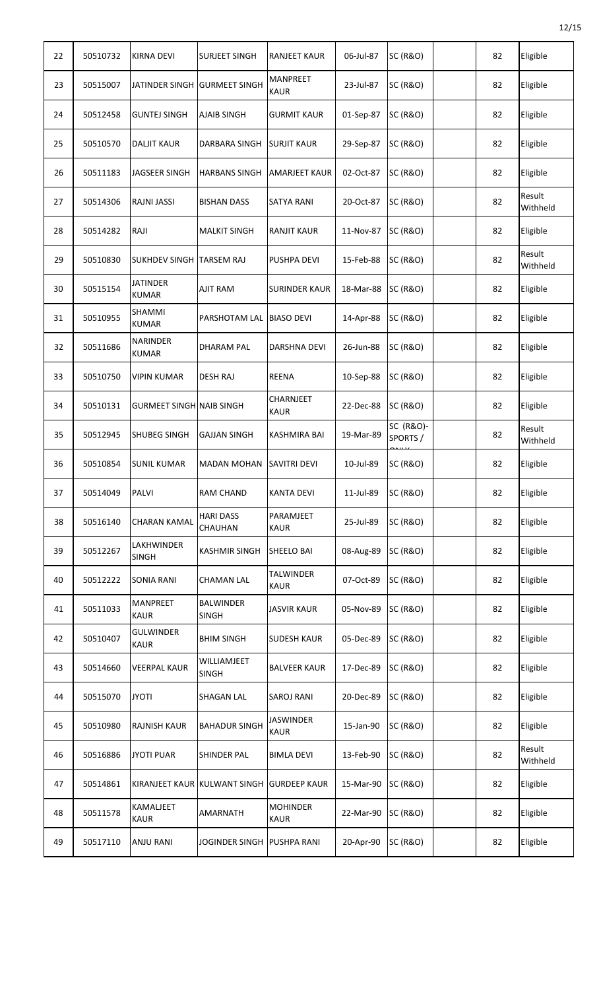| 22 | 50510732 | KIRNA DEVI                      | <b>SURJEET SINGH</b>               | <b>RANJEET KAUR</b>             | 06-Jul-87 | <b>SC (R&amp;O)</b>  | 82 | Eligible           |
|----|----------|---------------------------------|------------------------------------|---------------------------------|-----------|----------------------|----|--------------------|
| 23 | 50515007 |                                 | JATINDER SINGH GURMEET SINGH       | <b>MANPREET</b><br><b>KAUR</b>  | 23-Jul-87 | <b>SC (R&amp;O)</b>  | 82 | Eligible           |
| 24 | 50512458 | <b>GUNTEJ SINGH</b>             | <b>AJAIB SINGH</b>                 | <b>GURMIT KAUR</b>              | 01-Sep-87 | <b>SC (R&amp;O)</b>  | 82 | Eligible           |
| 25 | 50510570 | DALJIT KAUR                     | DARBARA SINGH                      | <b>SURJIT KAUR</b>              | 29-Sep-87 | <b>SC (R&amp;O)</b>  | 82 | Eligible           |
| 26 | 50511183 | <b>JAGSEER SINGH</b>            | <b>HARBANS SINGH</b>               | <b>AMARJEET KAUR</b>            | 02-Oct-87 | <b>SC (R&amp;O)</b>  | 82 | Eligible           |
| 27 | 50514306 | RAJNI JASSI                     | <b>BISHAN DASS</b>                 | <b>SATYA RANI</b>               | 20-Oct-87 | <b>SC (R&amp;O)</b>  | 82 | Result<br>Withheld |
| 28 | 50514282 | RAJI                            | <b>MALKIT SINGH</b>                | <b>RANJIT KAUR</b>              | 11-Nov-87 | <b>SC (R&amp;O)</b>  | 82 | Eligible           |
| 29 | 50510830 | SUKHDEV SINGH TARSEM RAJ        |                                    | PUSHPA DEVI                     | 15-Feb-88 | <b>SC (R&amp;O)</b>  | 82 | Result<br>Withheld |
| 30 | 50515154 | <b>JATINDER</b><br><b>KUMAR</b> | <b>AJIT RAM</b>                    | <b>SURINDER KAUR</b>            | 18-Mar-88 | <b>SC (R&amp;O)</b>  | 82 | Eligible           |
| 31 | 50510955 | SHAMMI<br><b>KUMAR</b>          | <b>PARSHOTAM LAL</b>               | <b>BIASO DEVI</b>               | 14-Apr-88 | <b>SC (R&amp;O)</b>  | 82 | Eligible           |
| 32 | 50511686 | <b>NARINDER</b><br><b>KUMAR</b> | <b>DHARAM PAL</b>                  | <b>DARSHNA DEVI</b>             | 26-Jun-88 | <b>SC (R&amp;O)</b>  | 82 | Eligible           |
| 33 | 50510750 | VIPIN KUMAR                     | <b>DESH RAJ</b>                    | <b>REENA</b>                    | 10-Sep-88 | <b>SC (R&amp;O)</b>  | 82 | Eligible           |
| 34 | 50510131 | <b>GURMEET SINGH NAIB SINGH</b> |                                    | CHARNJEET<br><b>KAUR</b>        | 22-Dec-88 | <b>SC (R&amp;O)</b>  | 82 | Eligible           |
| 35 | 50512945 | SHUBEG SINGH                    | <b>GAJJAN SINGH</b>                | <b>KASHMIRA BAI</b>             | 19-Mar-89 | SC (R&O)-<br>SPORTS/ | 82 | Result<br>Withheld |
| 36 | 50510854 | <b>SUNIL KUMAR</b>              | <b>MADAN MOHAN</b>                 | <b>SAVITRI DEVI</b>             | 10-Jul-89 | <b>SC (R&amp;O)</b>  | 82 | Eligible           |
| 37 | 50514049 | PALVI                           | <b>RAM CHAND</b>                   | <b>KANTA DEVI</b>               | 11-Jul-89 | <b>SC (R&amp;O)</b>  | 82 | Eligible           |
| 38 | 50516140 | <b>CHARAN KAMAL</b>             | <b>HARI DASS</b><br><b>CHAUHAN</b> | PARAMJEET<br><b>KAUR</b>        | 25-Jul-89 | <b>SC (R&amp;O)</b>  | 82 | Eligible           |
| 39 | 50512267 | LAKHWINDER<br>SINGH             | <b>KASHMIR SINGH</b>               | SHEELO BAI                      | 08-Aug-89 | <b>SC (R&amp;O)</b>  | 82 | Eligible           |
| 40 | 50512222 | <b>SONIA RANI</b>               | <b>CHAMAN LAL</b>                  | <b>TALWINDER</b><br><b>KAUR</b> | 07-Oct-89 | <b>SC (R&amp;O)</b>  | 82 | Eligible           |
| 41 | 50511033 | MANPREET<br><b>KAUR</b>         | <b>BALWINDER</b><br><b>SINGH</b>   | <b>JASVIR KAUR</b>              | 05-Nov-89 | <b>SC (R&amp;O)</b>  | 82 | Eligible           |
| 42 | 50510407 | <b>GULWINDER</b><br><b>KAUR</b> | <b>BHIM SINGH</b>                  | <b>SUDESH KAUR</b>              | 05-Dec-89 | <b>SC (R&amp;O)</b>  | 82 | Eligible           |
| 43 | 50514660 | <b>VEERPAL KAUR</b>             | WILLIAMJEET<br><b>SINGH</b>        | <b>BALVEER KAUR</b>             | 17-Dec-89 | <b>SC (R&amp;O)</b>  | 82 | Eligible           |
| 44 | 50515070 | <b>JYOTI</b>                    | <b>SHAGAN LAL</b>                  | <b>SAROJ RANI</b>               | 20-Dec-89 | <b>SC (R&amp;O)</b>  | 82 | Eligible           |
| 45 | 50510980 | <b>RAJNISH KAUR</b>             | <b>BAHADUR SINGH</b>               | <b>JASWINDER</b><br><b>KAUR</b> | 15-Jan-90 | <b>SC (R&amp;O)</b>  | 82 | Eligible           |
| 46 | 50516886 | <b>JYOTI PUAR</b>               | SHINDER PAL                        | <b>BIMLA DEVI</b>               | 13-Feb-90 | <b>SC (R&amp;O)</b>  | 82 | Result<br>Withheld |
| 47 | 50514861 |                                 | KIRANJEET KAUR KULWANT SINGH       | <b>GURDEEP KAUR</b>             | 15-Mar-90 | <b>SC (R&amp;O)</b>  | 82 | Eligible           |
| 48 | 50511578 | KAMALJEET<br><b>KAUR</b>        | <b>AMARNATH</b>                    | <b>MOHINDER</b><br><b>KAUR</b>  | 22-Mar-90 | <b>SC (R&amp;O)</b>  | 82 | Eligible           |
| 49 | 50517110 | ANJU RANI                       | <b>JOGINDER SINGH</b>              | <b>PUSHPA RANI</b>              | 20-Apr-90 | <b>SC (R&amp;O)</b>  | 82 | Eligible           |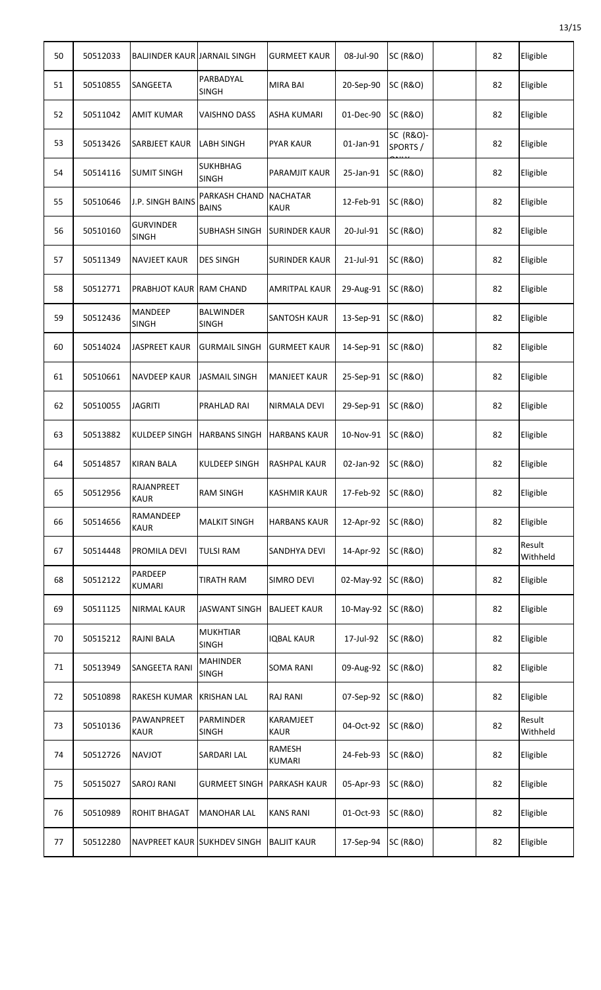| 50 | 50512033 | BALJINDER KAUR JARNAIL SINGH     |                                  | <b>GURMEET KAUR</b>            | 08-Jul-90 | <b>SC (R&amp;O)</b>   | 82 | Eligible           |
|----|----------|----------------------------------|----------------------------------|--------------------------------|-----------|-----------------------|----|--------------------|
| 51 | 50510855 | SANGEETA                         | PARBADYAL<br><b>SINGH</b>        | MIRA BAI                       | 20-Sep-90 | <b>SC (R&amp;O)</b>   | 82 | Eligible           |
| 52 | 50511042 | AMIT KUMAR                       | VAISHNO DASS                     | ASHA KUMARI                    | 01-Dec-90 | <b>SC (R&amp;O)</b>   | 82 | Eligible           |
| 53 | 50513426 | <b>SARBJEET KAUR</b>             | <b>LABH SINGH</b>                | <b>PYAR KAUR</b>               | 01-Jan-91 | SC (R&O)-<br>SPORTS / | 82 | Eligible           |
| 54 | 50514116 | <b>SUMIT SINGH</b>               | <b>SUKHBHAG</b><br><b>SINGH</b>  | <b>PARAMJIT KAUR</b>           | 25-Jan-91 | <b>SC (R&amp;O)</b>   | 82 | Eligible           |
| 55 | 50510646 | <b>J.P. SINGH BAINS</b>          | PARKASH CHAND<br><b>BAINS</b>    | <b>NACHATAR</b><br><b>KAUR</b> | 12-Feb-91 | <b>SC (R&amp;O)</b>   | 82 | Eligible           |
| 56 | 50510160 | <b>GURVINDER</b><br><b>SINGH</b> | <b>SUBHASH SINGH</b>             | <b>SURINDER KAUR</b>           | 20-Jul-91 | <b>SC (R&amp;O)</b>   | 82 | Eligible           |
| 57 | 50511349 | <b>NAVJEET KAUR</b>              | <b>DES SINGH</b>                 | <b>SURINDER KAUR</b>           | 21-Jul-91 | <b>SC (R&amp;O)</b>   | 82 | Eligible           |
| 58 | 50512771 | PRABHJOT KAUR RAM CHAND          |                                  | <b>AMRITPAL KAUR</b>           | 29-Aug-91 | <b>SC (R&amp;O)</b>   | 82 | Eligible           |
| 59 | 50512436 | <b>MANDEEP</b><br>SINGH          | <b>BALWINDER</b><br><b>SINGH</b> | <b>SANTOSH KAUR</b>            | 13-Sep-91 | <b>SC (R&amp;O)</b>   | 82 | Eligible           |
| 60 | 50514024 | <b>JASPREET KAUR</b>             | <b>GURMAIL SINGH</b>             | <b>GURMEET KAUR</b>            | 14-Sep-91 | <b>SC (R&amp;O)</b>   | 82 | Eligible           |
| 61 | 50510661 | NAVDEEP KAUR                     | <b>JASMAIL SINGH</b>             | <b>MANJEET KAUR</b>            | 25-Sep-91 | <b>SC (R&amp;O)</b>   | 82 | Eligible           |
| 62 | 50510055 | JAGRITI                          | <b>PRAHLAD RAI</b>               | NIRMALA DEVI                   | 29-Sep-91 | <b>SC (R&amp;O)</b>   | 82 | Eligible           |
| 63 | 50513882 | KULDEEP SINGH                    | <b>HARBANS SINGH</b>             | <b>HARBANS KAUR</b>            | 10-Nov-91 | <b>SC (R&amp;O)</b>   | 82 | Eligible           |
| 64 | 50514857 | <b>KIRAN BALA</b>                | <b>KULDEEP SINGH</b>             | RASHPAL KAUR                   | 02-Jan-92 | <b>SC (R&amp;O)</b>   | 82 | Eligible           |
| 65 | 50512956 | RAJANPREET<br><b>KAUR</b>        | <b>RAM SINGH</b>                 | <b>KASHMIR KAUR</b>            | 17-Feb-92 | <b>SC (R&amp;O)</b>   | 82 | Eligible           |
| 66 | 50514656 | RAMANDEEP<br><b>KAUR</b>         | <b>MALKIT SINGH</b>              | <b>HARBANS KAUR</b>            | 12-Apr-92 | <b>SC (R&amp;O)</b>   | 82 | Eligible           |
| 67 | 50514448 | PROMILA DEVI                     | <b>TULSI RAM</b>                 | SANDHYA DEVI                   | 14-Apr-92 | <b>SC (R&amp;O)</b>   | 82 | Result<br>Withheld |
| 68 | 50512122 | PARDEEP<br><b>KUMARI</b>         | <b>TIRATH RAM</b>                | <b>SIMRO DEVI</b>              | 02-May-92 | <b>SC (R&amp;O)</b>   | 82 | Eligible           |
| 69 | 50511125 | NIRMAL KAUR                      | <b>JASWANT SINGH</b>             | <b>BALJEET KAUR</b>            | 10-May-92 | <b>SC (R&amp;O)</b>   | 82 | Eligible           |
| 70 | 50515212 | RAJNI BALA                       | <b>MUKHTIAR</b><br><b>SINGH</b>  | IQBAL KAUR                     | 17-Jul-92 | <b>SC (R&amp;O)</b>   | 82 | Eligible           |
| 71 | 50513949 | SANGEETA RANI                    | <b>MAHINDER</b><br><b>SINGH</b>  | <b>SOMA RANI</b>               | 09-Aug-92 | <b>SC (R&amp;O)</b>   | 82 | Eligible           |
| 72 | 50510898 | RAKESH KUMAR KRISHAN LAL         |                                  | <b>RAJ RANI</b>                | 07-Sep-92 | <b>SC (R&amp;O)</b>   | 82 | Eligible           |
| 73 | 50510136 | PAWANPREET<br><b>KAUR</b>        | PARMINDER<br><b>SINGH</b>        | KARAMJEET<br><b>KAUR</b>       | 04-Oct-92 | <b>SC (R&amp;O)</b>   | 82 | Result<br>Withheld |
| 74 | 50512726 | NAVJOT                           | <b>SARDARI LAL</b>               | RAMESH<br><b>KUMARI</b>        | 24-Feb-93 | <b>SC (R&amp;O)</b>   | 82 | Eligible           |
| 75 | 50515027 | <b>SAROJ RANI</b>                | <b>GURMEET SINGH</b>             | <b>PARKASH KAUR</b>            | 05-Apr-93 | <b>SC (R&amp;O)</b>   | 82 | Eligible           |
| 76 | 50510989 | ROHIT BHAGAT                     | <b>MANOHAR LAL</b>               | <b>KANS RANI</b>               | 01-Oct-93 | <b>SC (R&amp;O)</b>   | 82 | Eligible           |
| 77 | 50512280 | NAVPREET KAUR SUKHDEV SINGH      |                                  | <b>BALJIT KAUR</b>             | 17-Sep-94 | <b>SC (R&amp;O)</b>   | 82 | Eligible           |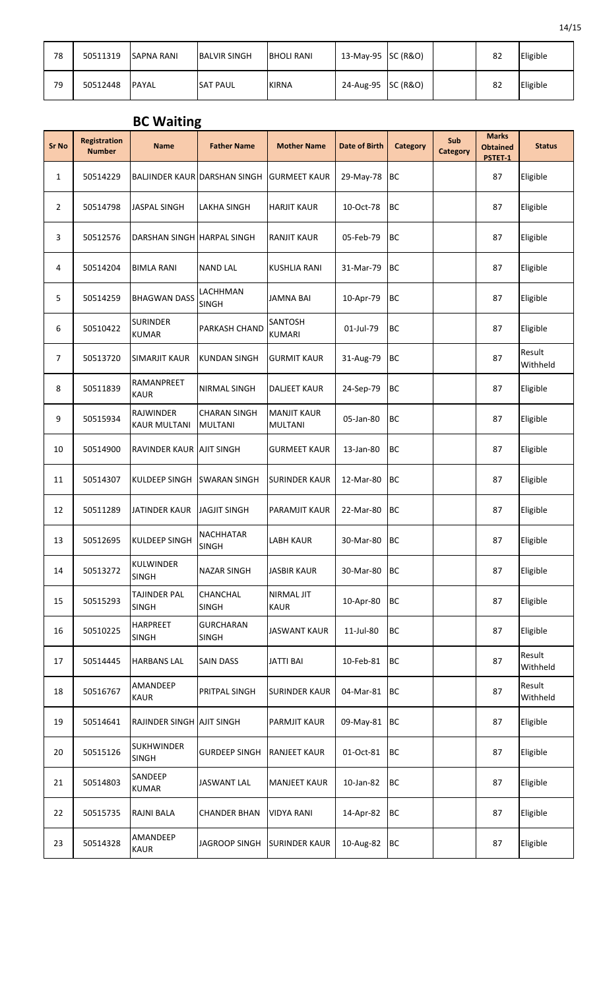| 78 | 50511319 | <b>SAPNA RANI</b> | <b>BALVIR SINGH</b> | <b>BHOLI RANI</b> | 13-May-95 $ SC(R&O) $ |  | 82 | Eligible |
|----|----------|-------------------|---------------------|-------------------|-----------------------|--|----|----------|
| 79 | 50512448 | <b>IPAYAL</b>     | <b>SAT PAUL</b>     | <b>KIRNA</b>      | 24-Aug-95 SC (R&O)    |  | 82 | Eligible |

## **BC Waiting**

| <b>Sr No</b>   | <b>Registration</b><br><b>Number</b> | <b>Name</b>                       | <b>Father Name</b>                    | <b>Mother Name</b>                   | <b>Date of Birth</b> | <b>Category</b> | Sub<br><b>Category</b> | <b>Marks</b><br><b>Obtained</b><br>PSTET-1 | <b>Status</b>      |
|----------------|--------------------------------------|-----------------------------------|---------------------------------------|--------------------------------------|----------------------|-----------------|------------------------|--------------------------------------------|--------------------|
| 1              | 50514229                             |                                   | BALJINDER KAUR DARSHAN SINGH          | <b>GURMEET KAUR</b>                  | 29-May-78            | <b>BC</b>       |                        | 87                                         | Eligible           |
| $\overline{2}$ | 50514798                             | JASPAL SINGH                      | <b>LAKHA SINGH</b>                    | <b>HARJIT KAUR</b>                   | 10-Oct-78            | <b>BC</b>       |                        | 87                                         | Eligible           |
| 3              | 50512576                             | DARSHAN SINGH HARPAL SINGH        |                                       | RANJIT KAUR                          | 05-Feb-79            | BC              |                        | 87                                         | Eligible           |
| 4              | 50514204                             | <b>BIMLA RANI</b>                 | <b>NAND LAL</b>                       | <b>KUSHLIA RANI</b>                  | 31-Mar-79            | BC              |                        | 87                                         | Eligible           |
| 5              | 50514259                             | <b>BHAGWAN DASS</b>               | LACHHMAN<br><b>SINGH</b>              | <b>JAMNA BAI</b>                     | 10-Apr-79            | BC              |                        | 87                                         | Eligible           |
| 6              | 50510422                             | <b>SURINDER</b><br><b>KUMAR</b>   | <b>PARKASH CHAND</b>                  | SANTOSH<br><b>KUMARI</b>             | 01-Jul-79            | BC              |                        | 87                                         | Eligible           |
| 7              | 50513720                             | <b>SIMARJIT KAUR</b>              | <b>KUNDAN SINGH</b>                   | <b>GURMIT KAUR</b>                   | 31-Aug-79            | <b>BC</b>       |                        | 87                                         | Result<br>Withheld |
| 8              | 50511839                             | RAMANPREET<br>KAUR                | <b>NIRMAL SINGH</b>                   | <b>DALJEET KAUR</b>                  | 24-Sep-79            | BC              |                        | 87                                         | Eligible           |
| 9              | 50515934                             | <b>RAJWINDER</b><br>KAUR MULTANI  | <b>CHARAN SINGH</b><br><b>MULTANI</b> | <b>MANJIT KAUR</b><br><b>MULTANI</b> | 05-Jan-80            | BC              |                        | 87                                         | Eligible           |
| 10             | 50514900                             | RAVINDER KAUR AJIT SINGH          |                                       | <b>GURMEET KAUR</b>                  | 13-Jan-80            | BC              |                        | 87                                         | Eligible           |
| 11             | 50514307                             | KULDEEP SINGH                     | <b>SWARAN SINGH</b>                   | <b>SURINDER KAUR</b>                 | 12-Mar-80            | <b>BC</b>       |                        | 87                                         | Eligible           |
| 12             | 50511289                             | <b>JATINDER KAUR</b>              | <b>JAGJIT SINGH</b>                   | <b>PARAMJIT KAUR</b>                 | 22-Mar-80            | BC              |                        | 87                                         | Eligible           |
| 13             | 50512695                             | <b>KULDEEP SINGH</b>              | <b>NACHHATAR</b><br><b>SINGH</b>      | <b>LABH KAUR</b>                     | 30-Mar-80            | <b>BC</b>       |                        | 87                                         | Eligible           |
| 14             | 50513272                             | <b>KULWINDER</b><br><b>SINGH</b>  | <b>NAZAR SINGH</b>                    | <b>JASBIR KAUR</b>                   | 30-Mar-80            | <b>BC</b>       |                        | 87                                         | Eligible           |
| 15             | 50515293                             | TAJINDER PAL<br><b>SINGH</b>      | <b>CHANCHAL</b><br><b>SINGH</b>       | NIRMAL JIT<br><b>KAUR</b>            | 10-Apr-80            | <b>BC</b>       |                        | 87                                         | Eligible           |
| 16             | 50510225                             | <b>HARPREET</b><br>SINGH          | <b>GURCHARAN</b><br>SINGH             | <b>JASWANT KAUR</b>                  | 11-Jul-80            | BC              |                        | 87                                         | Eligible           |
| 17             | 50514445                             | <b>HARBANS LAL</b>                | <b>SAIN DASS</b>                      | <b>JATTI BAI</b>                     | 10-Feb-81            | <b>BC</b>       |                        | 87                                         | Result<br>Withheld |
| 18             | 50516767                             | AMANDEEP<br><b>KAUR</b>           | <b>PRITPAL SINGH</b>                  | <b>SURINDER KAUR</b>                 | 04-Mar-81            | <b>BC</b>       |                        | 87                                         | Result<br>Withheld |
| 19             | 50514641                             | RAJINDER SINGH AJIT SINGH         |                                       | PARMJIT KAUR                         | 09-May-81            | BC              |                        | 87                                         | Eligible           |
| 20             | 50515126                             | <b>SUKHWINDER</b><br><b>SINGH</b> | <b>GURDEEP SINGH</b>                  | <b>RANJEET KAUR</b>                  | 01-Oct-81            | <b>BC</b>       |                        | 87                                         | Eligible           |
| 21             | 50514803                             | SANDEEP<br><b>KUMAR</b>           | <b>JASWANT LAL</b>                    | <b>MANJEET KAUR</b>                  | 10-Jan-82            | BC              |                        | 87                                         | Eligible           |
| 22             | 50515735                             | RAJNI BALA                        | <b>CHANDER BHAN</b>                   | <b>VIDYA RANI</b>                    | 14-Apr-82            | <b>BC</b>       |                        | 87                                         | Eligible           |
| 23             | 50514328                             | AMANDEEP<br><b>KAUR</b>           | JAGROOP SINGH                         | <b>SURINDER KAUR</b>                 | 10-Aug-82            | BC              |                        | 87                                         | Eligible           |